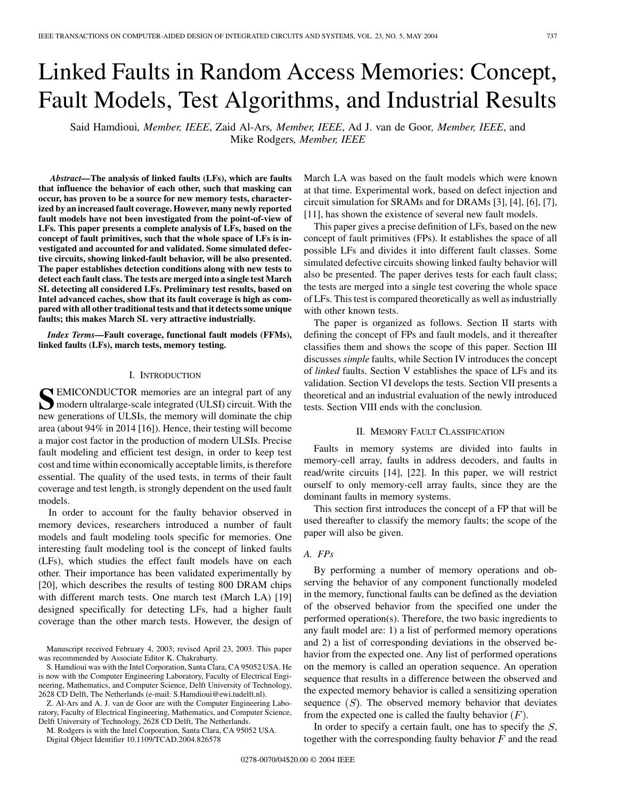# Linked Faults in Random Access Memories: Concept, Fault Models, Test Algorithms, and Industrial Results

Said Hamdioui*, Member, IEEE*, Zaid Al-Ars*, Member, IEEE*, Ad J. van de Goor*, Member, IEEE*, and Mike Rodgers*, Member, IEEE*

*Abstract—***The analysis of linked faults (LFs), which are faults that influence the behavior of each other, such that masking can occur, has proven to be a source for new memory tests, characterized by an increased fault coverage. However, many newly reported fault models have not been investigated from the point-of-view of LFs. This paper presents a complete analysis of LFs, based on the concept of fault primitives, such that the whole space of LFs is investigated and accounted for and validated. Some simulated defective circuits, showing linked-fault behavior, will be also presented. The paper establishes detection conditions along with new tests to detect each fault class. The tests are merged into a single test March SL detecting all considered LFs. Preliminary test results, based on Intel advanced caches, show that its fault coverage is high as compared with all other traditional tests and that it detects some unique faults; this makes March SL very attractive industrially.**

*Index Terms—***Fault coverage, functional fault models (FFMs), linked faults (LFs), march tests, memory testing.**

#### I. INTRODUCTION

SEMICONDUCTOR memories are an integral part of any<br>modern ultralarge-scale integrated (ULSI) circuit. With the new generations of ULSIs, the memory will dominate the chip area (about 94% in 2014 [\[16](#page-19-0)]). Hence, their testing will become a major cost factor in the production of modern ULSIs. Precise fault modeling and efficient test design, in order to keep test cost and time within economically acceptable limits, is therefore essential. The quality of the used tests, in terms of their fault coverage and test length, is strongly dependent on the used fault models.

In order to account for the faulty behavior observed in memory devices, researchers introduced a number of fault models and fault modeling tools specific for memories. One interesting fault modeling tool is the concept of linked faults (LFs), which studies the effect fault models have on each other. Their importance has been validated experimentally by [\[20](#page-19-0)], which describes the results of testing 800 DRAM chips with different march tests. One march test (March LA) [[19\]](#page-19-0) designed specifically for detecting LFs, had a higher fault coverage than the other march tests. However, the design of

Manuscript received February 4, 2003; revised April 23, 2003. This paper was recommended by Associate Editor K. Chakrabarty.

S. Hamdioui was with the Intel Corporation, Santa Clara, CA 95052 USA. He is now with the Computer Engineering Laboratory, Faculty of Electrical Engineering, Mathematics, and Computer Science, Delft University of Technology, 2628 CD Delft, The Netherlands (e-mail: S.Hamdioui@ewi.tudelft.nl).

Z. Al-Ars and A. J. van de Goor are with the Computer Engineering Laboratory, Faculty of Electrical Engineering, Mathematics, and Computer Science, Delft University of Technology, 2628 CD Delft, The Netherlands.

M. Rodgers is with the Intel Corporation, Santa Clara, CA 95052 USA.

Digital Object Identifier 10.1109/TCAD.2004.826578

March LA was based on the fault models which were known at that time. Experimental work, based on defect injection and circuit simulation for SRAMs and for DRAMs [\[3\]](#page-19-0), [\[4](#page-19-0)], [[6\]](#page-19-0), [\[7](#page-19-0)], [\[11](#page-19-0)], has shown the existence of several new fault models.

This paper gives a precise definition of LFs, based on the new concept of fault primitives (FPs). It establishes the space of all possible LFs and divides it into different fault classes. Some simulated defective circuits showing linked faulty behavior will also be presented. The paper derives tests for each fault class; the tests are merged into a single test covering the whole space of LFs. This test is compared theoretically as well as industrially with other known tests.

The paper is organized as follows. Section II starts with defining the concept of FPs and fault models, and it thereafter classifies them and shows the scope of this paper. Section III discusses *simple* faults, while Section IV introduces the concept of *linked* faults. Section V establishes the space of LFs and its validation. Section VI develops the tests. Section VII presents a theoretical and an industrial evaluation of the newly introduced tests. Section VIII ends with the conclusion.

## II. MEMORY FAULT CLASSIFICATION

Faults in memory systems are divided into faults in memory-cell array, faults in address decoders, and faults in read/write circuits [\[14](#page-19-0)], [\[22](#page-19-0)]. In this paper, we will restrict ourself to only memory-cell array faults, since they are the dominant faults in memory systems.

This section first introduces the concept of a FP that will be used thereafter to classify the memory faults; the scope of the paper will also be given.

# *A. FPs*

By performing a number of memory operations and observing the behavior of any component functionally modeled in the memory, functional faults can be defined as the deviation of the observed behavior from the specified one under the performed operation(s). Therefore, the two basic ingredients to any fault model are: 1) a list of performed memory operations and 2) a list of corresponding deviations in the observed behavior from the expected one. Any list of performed operations on the memory is called an operation sequence. An operation sequence that results in a difference between the observed and the expected memory behavior is called a sensitizing operation sequence  $(S)$ . The observed memory behavior that deviates from the expected one is called the faulty behavior  $(F)$ .

In order to specify a certain fault, one has to specify the  $S$ , together with the corresponding faulty behavior  $F$  and the read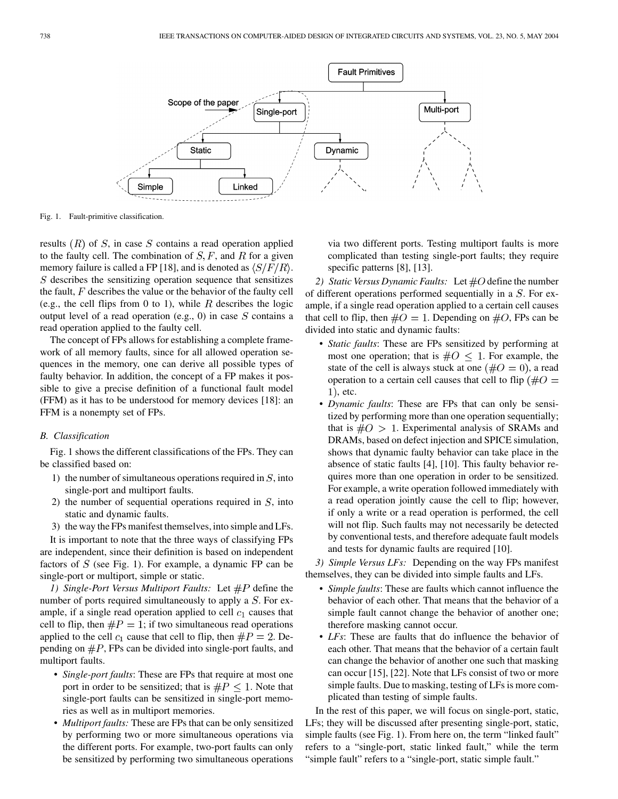

Fig. 1. Fault-primitive classification.

results  $(R)$  of  $S$ , in case  $S$  contains a read operation applied to the faulty cell. The combination of  $S, F$ , and R for a given memory failure is called a FP [\[18](#page-19-0)], and is denoted as  $\langle S/F/R \rangle$ .  $S$  describes the sensitizing operation sequence that sensitizes the fault,  $F$  describes the value or the behavior of the faulty cell (e.g., the cell flips from 0 to 1), while  $R$  describes the logic output level of a read operation (e.g., 0) in case  $S$  contains a read operation applied to the faulty cell.

The concept of FPs allows for establishing a complete framework of all memory faults, since for all allowed operation sequences in the memory, one can derive all possible types of faulty behavior. In addition, the concept of a FP makes it possible to give a precise definition of a functional fault model (FFM) as it has to be understood for memory devices [\[18](#page-19-0)]: an FFM is a nonempty set of FPs.

#### *B. Classification*

Fig. 1 shows the different classifications of the FPs. They can be classified based on:

- 1) the number of simultaneous operations required in  $S$ , into single-port and multiport faults.
- 2) the number of sequential operations required in  $S$ , into static and dynamic faults.
- 3) the way the FPs manifest themselves, into simple and LFs.

It is important to note that the three ways of classifying FPs are independent, since their definition is based on independent factors of  $S$  (see Fig. 1). For example, a dynamic FP can be single-port or multiport, simple or static.

*1)* Single-Port Versus Multiport Faults: Let  $\#P$  define the number of ports required simultaneously to apply a  $S$ . For example, if a single read operation applied to cell  $c_1$  causes that cell to flip, then  $\#P = 1$ ; if two simultaneous read operations applied to the cell  $c_1$  cause that cell to flip, then  $\#P = 2$ . Depending on  $\#P$ , FPs can be divided into single-port faults, and multiport faults.

- *Single-port faults*: These are FPs that require at most one port in order to be sensitized; that is  $\#P \leq 1$ . Note that single-port faults can be sensitized in single-port memories as well as in multiport memories.
- *Multiport faults:* These are FPs that can be only sensitized by performing two or more simultaneous operations via the different ports. For example, two-port faults can only be sensitized by performing two simultaneous operations

via two different ports. Testing multiport faults is more complicated than testing single-port faults; they require specific patterns [\[8](#page-19-0)], [\[13](#page-19-0)].

2) Static Versus Dynamic Faults: Let  $\#O$  define the number of different operations performed sequentially in a  $S$ . For example, if a single read operation applied to a certain cell causes that cell to flip, then  $\#O = 1$ . Depending on  $\#O$ , FPs can be divided into static and dynamic faults:

- *Static faults*: These are FPs sensitized by performing at most one operation; that is  $\#O \leq 1$ . For example, the state of the cell is always stuck at one ( $\#O = 0$ ), a read operation to a certain cell causes that cell to flip ( $\#O =$  $1)$ , etc.
- *Dynamic faults*: These are FPs that can only be sensitized by performing more than one operation sequentially; that is  $\#O > 1$ . Experimental analysis of SRAMs and DRAMs, based on defect injection and SPICE simulation, shows that dynamic faulty behavior can take place in the absence of static faults [[4\]](#page-19-0), [[10\]](#page-19-0). This faulty behavior requires more than one operation in order to be sensitized. For example, a write operation followed immediately with a read operation jointly cause the cell to flip; however, if only a write or a read operation is performed, the cell will not flip. Such faults may not necessarily be detected by conventional tests, and therefore adequate fault models and tests for dynamic faults are required [\[10](#page-19-0)].

*3) Simple Versus LFs:* Depending on the way FPs manifest themselves, they can be divided into simple faults and LFs.

- *Simple faults*: These are faults which cannot influence the behavior of each other. That means that the behavior of a simple fault cannot change the behavior of another one; therefore masking cannot occur.
- *LFs*: These are faults that do influence the behavior of each other. That means that the behavior of a certain fault can change the behavior of another one such that masking can occur [[15\]](#page-19-0), [\[22](#page-19-0)]. Note that LFs consist of two or more simple faults. Due to masking, testing of LFs is more complicated than testing of simple faults.

In the rest of this paper, we will focus on single-port, static, LFs; they will be discussed after presenting single-port, static, simple faults (see Fig. 1). From here on, the term "linked fault" refers to a "single-port, static linked fault," while the term "simple fault" refers to a "single-port, static simple fault."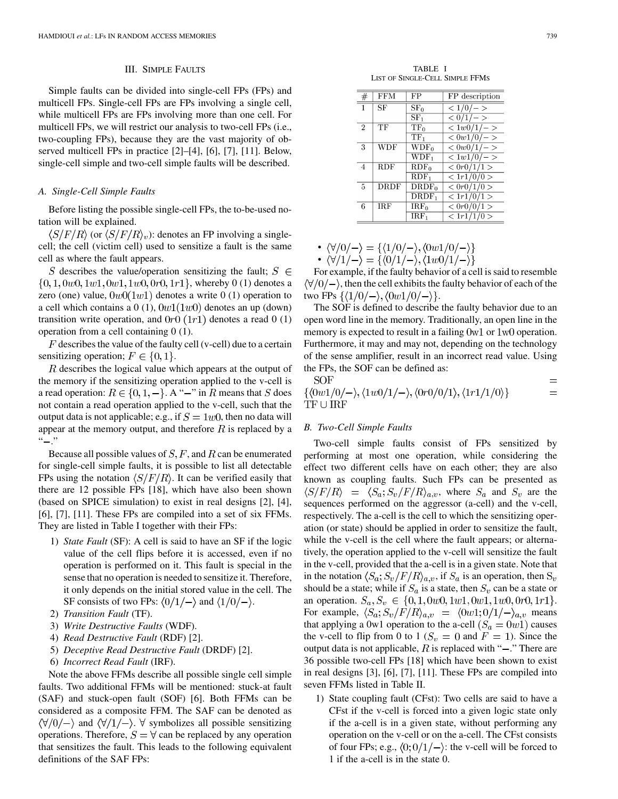## III. SIMPLE FAULTS

Simple faults can be divided into single-cell FPs (FPs) and multicell FPs. Single-cell FPs are FPs involving a single cell, while multicell FPs are FPs involving more than one cell. For multicell FPs, we will restrict our analysis to two-cell FPs (i.e., two-coupling FPs), because they are the vast majority of observed multicell FPs in practice [[2\]](#page-19-0)–[\[4](#page-19-0)], [[6\]](#page-19-0), [\[7\]](#page-19-0), [\[11](#page-19-0)]. Below, single-cell simple and two-cell simple faults will be described.

## *A. Single-Cell Simple Faults*

Before listing the possible single-cell FPs, the to-be-used notation will be explained.

 $\langle S/F/R \rangle$  (or  $\langle S/F/R \rangle$ ): denotes an FP involving a singlecell; the cell (victim cell) used to sensitize a fault is the same cell as where the fault appears.

S describes the value/operation sensitizing the fault;  $S \in$  $\{0, 1, 0w0, 1w1, 0w1, 1w0, 0r0, 1r1\}$ , whereby 0 (1) denotes a zero (one) value,  $0w0(1w1)$  denotes a write 0 (1) operation to a cell which contains a  $0(1)$ ,  $0w1(1w0)$  denotes an up (down) transition write operation, and  $0r0$   $(1r1)$  denotes a read 0  $(1)$ operation from a cell containing 0 (1).

 $F$  describes the value of the faulty cell (v-cell) due to a certain sensitizing operation;  $F \in \{0, 1\}.$ 

R describes the logical value which appears at the output of the memory if the sensitizing operation applied to the v-cell is a read operation:  $R \in \{0, 1, -\}$ . A "-" in R means that S does not contain a read operation applied to the v-cell, such that the output data is not applicable; e.g., if  $S = 1w0$ , then no data will appear at the memory output, and therefore  $R$  is replaced by a  $``$  "

Because all possible values of  $S$ ,  $F$ , and  $R$  can be enumerated for single-cell simple faults, it is possible to list all detectable FPs using the notation  $\langle S/F/R \rangle$ . It can be verified easily that there are 12 possible FPs [[18\]](#page-19-0), which have also been shown (based on SPICE simulation) to exist in real designs [[2\]](#page-19-0), [\[4](#page-19-0)], [\[6](#page-19-0)], [[7\]](#page-19-0), [\[11](#page-19-0)]. These FPs are compiled into a set of six FFMs. They are listed in Table I together with their FPs:

- 1) *State Fault* (SF): A cell is said to have an SF if the logic value of the cell flips before it is accessed, even if no operation is performed on it. This fault is special in the sense that no operation is needed to sensitize it. Therefore, it only depends on the initial stored value in the cell. The SF consists of two FPs:  $\langle 0/1/- \rangle$  and  $\langle 1/0/- \rangle$ .
- 2) *Transition Fault* (TF).
- 3) *Write Destructive Faults* (WDF).
- 4) *Read Destructive Fault* (RDF) [[2](#page-19-0)].
- 5) *Deceptive Read Destructive Fault* (DRDF) [[2\]](#page-19-0).
- 6) *Incorrect Read Fault* (IRF).

Note the above FFMs describe all possible single cell simple faults. Two additional FFMs will be mentioned: stuck-at fault (SAF) and stuck-open fault (SOF) [\[6](#page-19-0)]. Both FFMs can be considered as a composite FFM. The SAF can be denoted as  $\langle \forall /0/-\rangle$  and  $\langle \forall /1/-\rangle$ .  $\forall$  symbolizes all possible sensitizing operations. Therefore,  $S = \forall$  can be replaced by any operation that sensitizes the fault. This leads to the following equivalent definitions of the SAF FPs:

TABLE I LIST OF SINGLE-CELL SIMPLE FFMS

| #              | <b>FFM</b>  | FP                        | FP description            |
|----------------|-------------|---------------------------|---------------------------|
| $\overline{1}$ | <b>SF</b>   | SF <sub>0</sub>           | $<1/0/-$                  |
|                |             | SF <sub>1</sub>           | $\langle 0/1/->$          |
| $\mathcal{D}$  | ТF          | $TF_0$                    | $\sqrt{2}w/1/->$          |
|                |             | TF <sub>1</sub>           | $\sqrt{w(1/0)}$           |
| 3              | <b>WDF</b>  | WDF <sub>0</sub>          | $< 0 \cdot w0/1 / - >$    |
|                |             | $\overline{\text{WDF}}_1$ | $\sqrt{2w1/0/-}$          |
| $\frac{1}{4}$  | <b>RDF</b>  | RDF <sub>0</sub>          | $\langle 0r0/1/1 \rangle$ |
|                |             | RDF <sub>1</sub>          | $\langle 1r1/0/0 \rangle$ |
| $\overline{5}$ | <b>DRDF</b> | DRDF <sub>0</sub>         | $\langle 0r0/1/0 \rangle$ |
|                |             | DRDF <sub>1</sub>         | $\langle 1r1/0/1 \rangle$ |
| 6              | <b>IRF</b>  | IRF <sub>0</sub>          | $\sqrt{0r(0/1)}$          |
|                |             | IRF <sub>1</sub>          | $\sqrt{1-r^2/1/0} >$      |

• 
$$
\langle \forall/0/- \rangle = \{ \langle 1/0/- \rangle, \langle 0w1/0/- \rangle \}
$$
  
•  $\langle \forall/1/- \rangle = \{ \langle 0/1/- \rangle, \langle 1w0/1/- \rangle \}$ 

For example, if the faulty behavior of a cell is said to resemble  $\langle \forall /0/- \rangle$ , then the cell exhibits the faulty behavior of each of the two FPs  $\{\langle 1/0/- \rangle, \langle 0w1/0/- \rangle\}.$ 

The SOF is defined to describe the faulty behavior due to an open word line in the memory. Traditionally, an open line in the memory is expected to result in a failing  $0w1$  or  $1w0$  operation. Furthermore, it may and may not, depending on the technology of the sense amplifier, result in an incorrect read value. Using the FPs, the SOF can be defined as:

$$
= \{ \langle 0w1/0/- \rangle, \langle 1w0/1/- \rangle, \langle 0r0/0/1 \rangle, \langle 1r1/1/0 \rangle \} =
$$
  
TF  $\cup$  IRF

## *B. Two-Cell Simple Faults*

Two-cell simple faults consist of FPs sensitized by performing at most one operation, while considering the effect two different cells have on each other; they are also known as coupling faults. Such FPs can be presented as  $\langle S/F/R \rangle = \langle S_a; S_v/F/R \rangle_{a,v}$ , where  $S_a$  and  $S_v$  are the sequences performed on the aggressor (a-cell) and the v-cell, respectively. The a-cell is the cell to which the sensitizing operation (or state) should be applied in order to sensitize the fault, while the v-cell is the cell where the fault appears; or alternatively, the operation applied to the v-cell will sensitize the fault in the v-cell, provided that the a-cell is in a given state. Note that in the notation  $\langle S_a; S_v/F/R \rangle_{a,v}$ , if  $S_a$  is an operation, then  $S_v$ should be a state; while if  $S_a$  is a state, then  $S_v$  can be a state or an operation.  $S_a, S_v \in \{0, 1, 0w0, 1w1, 0w1, 1w0, 0r0, 1r1\}.$ For example,  $\langle S_a; S_v/F/R \rangle_{a,v} = \langle 0w1; 0/1/- \rangle_{a,v}$  means that applying a 0w1 operation to the a-cell  $(S_a = 0w1)$  causes the v-cell to flip from 0 to 1 ( $S_v = 0$  and  $F = 1$ ). Since the output data is not applicable,  $R$  is replaced with " $-$ ." There are 36 possible two-cell FPs [[18\]](#page-19-0) which have been shown to exist in real designs [\[3](#page-19-0)], [\[6](#page-19-0)], [[7](#page-19-0)], [[11\]](#page-19-0). These FPs are compiled into seven FFMs listed in Table II.

1) State coupling fault (CFst): Two cells are said to have a CFst if the v-cell is forced into a given logic state only if the a-cell is in a given state, without performing any operation on the v-cell or on the a-cell. The CFst consists of four FPs; e.g.,  $\langle 0; 0/1/\rightarrow$ : the v-cell will be forced to 1 if the a-cell is in the state 0.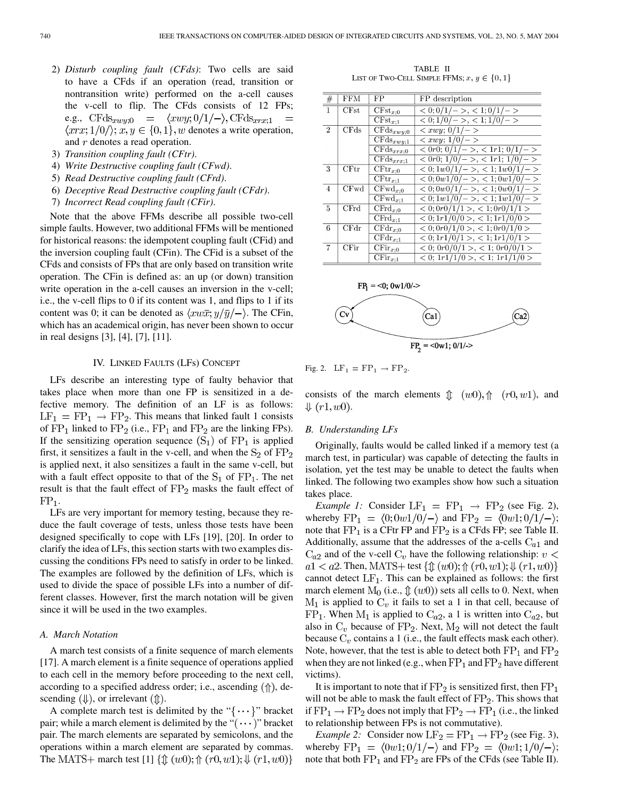- 2) *Disturb coupling fault (CFds)*: Two cells are said to have a CFds if an operation (read, transition or nontransition write) performed on the a-cell causes the v-cell to flip. The CFds consists of 12 FPs; e.g.,  $CFds_{xwy;0} = \langle xwy; 0/1/- \rangle$ ,  $CFds_{xrx;1}$  $\langle xrx; 1/0 \rangle$ ;  $x, y \in \{0, 1\}$ , w denotes a write operation, and  $r$  denotes a read operation.
- 3) *Transition coupling fault (CFtr)*.
- 4) *Write Destructive coupling fault (CFwd)*.
- 5) *Read Destructive coupling fault (CFrd)*.
- 6) *Deceptive Read Destructive coupling fault (CFdr)*.
- 7) *Incorrect Read coupling fault (CFir)*.

Note that the above FFMs describe all possible two-cell simple faults. However, two additional FFMs will be mentioned for historical reasons: the idempotent coupling fault (CFid) and the inversion coupling fault (CFin). The CFid is a subset of the CFds and consists of FPs that are only based on transition write operation. The CFin is defined as: an up (or down) transition write operation in the a-cell causes an inversion in the v-cell; i.e., the v-cell flips to 0 if its content was 1, and flips to 1 if its content was 0; it can be denoted as  $\langle x w \bar{x}; y/\bar{y}/\rangle$ . The CFin, which has an academical origin, has never been shown to occur in real designs [[3\]](#page-19-0), [[4\]](#page-19-0), [[7\]](#page-19-0), [[11\]](#page-19-0).

# IV. LINKED FAULTS (LFs) CONCEPT

LFs describe an interesting type of faulty behavior that takes place when more than one FP is sensitized in a defective memory. The definition of an LF is as follows:  $LF_1 = FP_1 \rightarrow FP_2$ . This means that linked fault 1 consists of  $FP_1$  linked to  $FP_2$  (i.e.,  $FP_1$  and  $FP_2$  are the linking FPs). If the sensitizing operation sequence  $(S_1)$  of  $FP_1$  is applied first, it sensitizes a fault in the v-cell, and when the  $S_2$  of  $FP_2$ is applied next, it also sensitizes a fault in the same v-cell, but with a fault effect opposite to that of the  $S_1$  of  $FP_1$ . The net result is that the fault effect of  $FP<sub>2</sub>$  masks the fault effect of  $FP<sub>1</sub>$ .

LFs are very important for memory testing, because they reduce the fault coverage of tests, unless those tests have been designed specifically to cope with LFs [[19\]](#page-19-0), [\[20](#page-19-0)]. In order to clarify the idea of LFs, this section starts with two examples discussing the conditions FPs need to satisfy in order to be linked. The examples are followed by the definition of LFs, which is used to divide the space of possible LFs into a number of different classes. However, first the march notation will be given since it will be used in the two examples.

# *A. March Notation*

A march test consists of a finite sequence of march elements [[17\]](#page-19-0). A march element is a finite sequence of operations applied to each cell in the memory before proceeding to the next cell, according to a specified address order; i.e., ascending  $(\uparrow)$ , descending  $(\Downarrow)$ , or irrelevant  $(\Uparrow)$ .

A complete march test is delimited by the " $\{\cdots\}$ " bracket pair; while a march element is delimited by the " $( \cdots )$ " bracket pair. The march elements are separated by semicolons, and the operations within a march element are separated by commas. The MATS+ march test [\[1](#page-19-0)]  $\{\mathcal{L}(w0); \mathcal{L}(r0, w1); \mathcal{L}(r1, w0)\}$ 

TABLE II LIST OF TWO-CELL SIMPLE FFMS;  $x, y \in \{0, 1\}$ 

| #              | FFM         | FP                                           | FP description                                                                                                                                                                                                                                                                                                                                                                                                                                  |
|----------------|-------------|----------------------------------------------|-------------------------------------------------------------------------------------------------------------------------------------------------------------------------------------------------------------------------------------------------------------------------------------------------------------------------------------------------------------------------------------------------------------------------------------------------|
| $\mathbf{1}$   | CFst.       | $\overline{\text{C}\text{F}}\text{st}_{x;0}$ | $< 0$ ; 0/1/ - >, $< 1$ ; 0/1/ - >                                                                                                                                                                                                                                                                                                                                                                                                              |
|                |             | $\overline{\text{CFst}}_{x;1}$               | $< 0; 1/0/->, 1; 1/0/->$                                                                                                                                                                                                                                                                                                                                                                                                                        |
| -2             | CFds        | $\overline{\text{CF}}_{\text{ds}_{xwy;0}}$   | $\langle xwy: 0/1/\rangle$                                                                                                                                                                                                                                                                                                                                                                                                                      |
|                |             | $\overline{\text{CFd}}s_{xwy;1}$             | $\langle xwy: 1/0/\rangle$                                                                                                                                                                                                                                                                                                                                                                                                                      |
|                |             | $\overline{\text{CF}}_{\text{ds}_{xrx;0}}$   | $< 0r0; 0/1/- >, < 1r1; 0/1/- >$                                                                                                                                                                                                                                                                                                                                                                                                                |
|                |             | $\overline{\text{CFds}}_{xrx;1}$             | $\langle 0r0; 1/0/\rangle \rangle, \langle 1r1; 1/0/\rangle \rangle$                                                                                                                                                                                                                                                                                                                                                                            |
| 3              | CFtr        | $\overline{\mathrm{CFr}}\mathrm{tr}_{x;0}$   | $< 0$ ; 1w0/1/->, $< 1$ ; 1w0/1/->                                                                                                                                                                                                                                                                                                                                                                                                              |
|                |             | $\overline{\mathrm{CFr}}_{x;1}$              | $< 0$ ; 0w1/0/->, $< 1$ ; 0w1/0/->                                                                                                                                                                                                                                                                                                                                                                                                              |
| $\overline{4}$ | CFwd        | $\overline{\text{CFwd}}_{x;0}$               | $< 0$ ; 0w0/1/->, $< 1$ ; 0w0/1/->                                                                                                                                                                                                                                                                                                                                                                                                              |
|                |             | $\overline{\mathrm{CFwd}_{x;1}}$             | $< 0$ ; 1w1/0/->, $< 1$ ; 1w1/0/->                                                                                                                                                                                                                                                                                                                                                                                                              |
| $\overline{5}$ | CFrd        | $\overline{\text{CFrd}}_{x;0}$               | $< 0$ ; 0r0/1/1 >, $< 1$ ; 0r0/1/1 >                                                                                                                                                                                                                                                                                                                                                                                                            |
|                |             | $\overline{\text{CFrd}}_{x;1}$               | $< 0; \frac{1}{r} \frac{1}{0} \left(0, \frac{1}{r} \cdot \frac{1}{1} \cdot \frac{1}{r} \cdot \frac{1}{1} \cdot \frac{1}{r} \cdot \frac{1}{1} \cdot \frac{1}{r} \cdot \frac{1}{r} \cdot \frac{1}{r} \cdot \frac{1}{r} \cdot \frac{1}{r} \cdot \frac{1}{r} \cdot \frac{1}{r} \cdot \frac{1}{r} \cdot \frac{1}{r} \cdot \frac{1}{r} \cdot \frac{1}{r} \cdot \frac{1}{r} \cdot \frac{1}{r} \cdot \frac{1}{r} \cdot \frac{1}{r} \cdot \frac{1}{r} \$ |
| 6              | CFdr        | $\overline{\text{CF}}\text{dr}_{x;0}$        | $< 0$ ; 0r0/1/0 >, $< 1$ ; 0r0/1/0 >                                                                                                                                                                                                                                                                                                                                                                                                            |
|                |             | $\overline{\text{CFdr}_{x;1}}$               | $< 0$ ; 1r1/0/1 >, $< 1$ ; 1r1/0/1 >                                                                                                                                                                                                                                                                                                                                                                                                            |
| $\overline{7}$ | <b>CFir</b> | $\overline{\text{CFir}}_{x;0}$               | $< 0$ ; $0r0/0/1$ >, $< 1$ ; $0r0/0/1$ >                                                                                                                                                                                                                                                                                                                                                                                                        |
|                |             | $\overline{\text{CFix}_{x;1}}$               | $< 0$ ; 1r1/1/0 >, $< 1$ ; 1r1/1/0 >                                                                                                                                                                                                                                                                                                                                                                                                            |



 $\mbox{Fig. 2.}\quad \mbox{LF}_1 \,=\, \mbox{FP}_1 \,\rightarrow\, \mbox{FP}_2.$ 

consists of the march elements  $\hat{\psi}(w0), \hat{\psi}(r0, w1)$ , and  $\downarrow$   $(r1,w0)$ .

#### *B. Understanding LFs*

Originally, faults would be called linked if a memory test (a march test, in particular) was capable of detecting the faults in isolation, yet the test may be unable to detect the faults when linked. The following two examples show how such a situation takes place.

*Example 1:* Consider  $LF_1 = FP_1 \rightarrow FP_2$  (see Fig. 2), whereby  $FP_1 = \langle 0; 0w1/0/- \rangle$  and  $FP_2 = \langle 0w1; 0/1/- \rangle$ ; note that  $FP_1$  is a CFtr FP and  $FP_2$  is a CFds FP; see Table II. Additionally, assume that the addresses of the a-cells  $C_{a1}$  and  $C_{a2}$  and of the v-cell  $C_v$  have the following relationship:  $v <$  $a1 < a2$ . Then, MATS+ test  $\{\mathcal{D}(w0); \mathcal{D}(r0, w1); \mathcal{L}(r1, w0)\}$ cannot detect  $LF<sub>1</sub>$ . This can be explained as follows: the first march element  $M_0$  (i.e.,  $\hat{\psi}(w_0)$ ) sets all cells to 0. Next, when  $M_1$  is applied to  $C_v$  it fails to set a 1 in that cell, because of  $FP_1$ . When  $M_1$  is applied to  $C_{a2}$ , a 1 is written into  $C_{a2}$ , but also in  $C_v$  because of  $FP_2$ . Next,  $M_2$  will not detect the fault because  $C_v$  contains a 1 (i.e., the fault effects mask each other). Note, however, that the test is able to detect both  $FP<sub>1</sub>$  and  $FP<sub>2</sub>$ when they are not linked (e.g., when  $FP_1$  and  $FP_2$  have different victims).

It is important to note that if  $FP_2$  is sensitized first, then  $FP_1$ will not be able to mask the fault effect of  $\text{FP}_2$ . This shows that if  $FP_1 \rightarrow FP_2$  does not imply that  $FP_2 \rightarrow FP_1$  (i.e., the linked to relationship between FPs is not commutative).

*Example 2:* Consider now  $LF_2 = FP_1 \rightarrow FP_2$  (see Fig. 3), whereby  $FP_1 = \langle 0w1; 0/1/\rightarrow \rangle$  and  $FP_2 = \langle 0w1; 1/0/\rightarrow \rangle$ ; note that both  $FP<sub>1</sub>$  and  $FP<sub>2</sub>$  are FPs of the CFds (see Table II).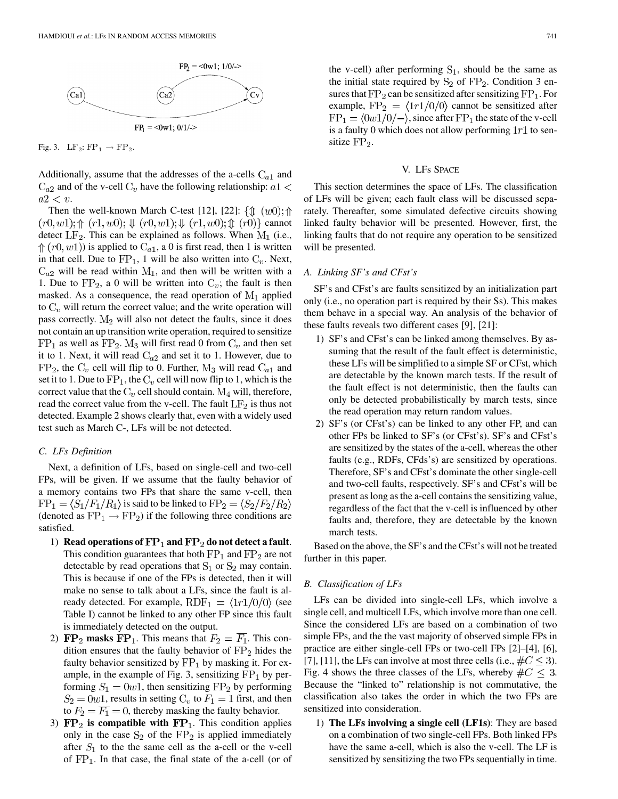

Fig. 3.  $LF_2: FP_1 \rightarrow FP_2$ .

Additionally, assume that the addresses of the a-cells  $C_{a1}$  and  $C_{a2}$  and of the v-cell  $C_v$  have the following relationship: al <  $a2 < v$ .

Then the well-known March C-test [[12\]](#page-19-0), [\[22](#page-19-0)]:  $\{\text{D}(w0)$ ;  $\text{D}(w0)$  $(r0, w1); \Uparrow (r1, w0); \Downarrow (r0, w1); \Downarrow (r1, w0); \Uparrow (r0)$  cannot detect  $LF_2$ . This can be explained as follows. When  $M_1$  (i.e.,  $\Uparrow$   $(r0, w1)$  is applied to  $C_{a1}$ , a 0 is first read, then 1 is written in that cell. Due to  $FP_1$ , 1 will be also written into  $C_v$ . Next,  $C_{a2}$  will be read within  $M_1$ , and then will be written with a 1. Due to  $\text{FP}_2$ , a 0 will be written into  $\text{C}_v$ ; the fault is then masked. As a consequence, the read operation of  $M_1$  applied to  $C_v$  will return the correct value; and the write operation will pass correctly.  $M_2$  will also not detect the faults, since it does not contain an up transition write operation, required to sensitize  $FP_1$  as well as  $FP_2$ . M<sub>3</sub> will first read 0 from  $C_v$  and then set it to 1. Next, it will read  $C_{a2}$  and set it to 1. However, due to  $FP_2$ , the  $C_v$  cell will flip to 0. Further,  $M_3$  will read  $C_{a1}$  and set it to 1. Due to  $FP_1$ , the  $C_v$  cell will now flip to 1, which is the correct value that the  $C_v$  cell should contain.  $M_4$  will, therefore, read the correct value from the v-cell. The fault  $LF_2$  is thus not detected. Example 2 shows clearly that, even with a widely used test such as March C-, LFs will be not detected.

## *C. LFs Definition*

Next, a definition of LFs, based on single-cell and two-cell FPs, will be given. If we assume that the faulty behavior of a memory contains two FPs that share the same v-cell, then  $FP_1 = \langle S_1/F_1/R_1 \rangle$  is said to be linked to  $FP_2 = \langle S_2/F_2/R_2 \rangle$ (denoted as  $\text{FP}_1 \rightarrow \text{FP}_2$ ) if the following three conditions are satisfied.

- 1) **Read operations of**  $\mathbf{FP}_1$  **and**  $\mathbf{FP}_2$  **do not detect a fault.** This condition guarantees that both  $FP<sub>1</sub>$  and  $FP<sub>2</sub>$  are not detectable by read operations that  $S_1$  or  $S_2$  may contain. This is because if one of the FPs is detected, then it will make no sense to talk about a LFs, since the fault is already detected. For example,  $RDF_1 = \langle 1r1/0/0 \rangle$  (see Table I) cannot be linked to any other FP since this fault is immediately detected on the output.
- 2)  $\mathbf{FP}_2$  masks  $\mathbf{FP}_1$ . This means that  $F_2 = \overline{F_1}$ . This condition ensures that the faulty behavior of  $FP<sub>2</sub>$  hides the faulty behavior sensitized by  $FP<sub>1</sub>$  by masking it. For example, in the example of Fig. 3, sensitizing  $FP<sub>1</sub>$  by performing  $S_1 = 0w1$ , then sensitizing FP<sub>2</sub> by performing  $S_2 = 0w1$ , results in setting  $C_v$  to  $F_1 = 1$  first, and then to  $F_2 = \overline{F_1} = 0$ , thereby masking the faulty behavior.
- 3)  $\mathbf{FP}_2$  is compatible with  $\mathbf{FP}_1$ . This condition applies only in the case  $S_2$  of the  $FP_2$  is applied immediately after  $S_1$  to the the same cell as the a-cell or the v-cell of  $FP_1$ . In that case, the final state of the a-cell (or of

the v-cell) after performing  $S_1$ , should be the same as the initial state required by  $S_2$  of  $FP_2$ . Condition 3 ensures that  $FP<sub>2</sub>$  can be sensitized after sensitizing  $FP<sub>1</sub>$ . For example,  $FP_2 = \langle 1r1/0/0 \rangle$  cannot be sensitized after  $FP_1 = \langle 0w1/0/- \rangle$ , since after  $FP_1$  the state of the v-cell is a faulty 0 which does not allow performing  $1r1$  to sensitize  $FP<sub>2</sub>$ .

#### V. LFs SPACE

This section determines the space of LFs. The classification of LFs will be given; each fault class will be discussed separately. Thereafter, some simulated defective circuits showing linked faulty behavior will be presented. However, first, the linking faults that do not require any operation to be sensitized will be presented.

# *A. Linking SF's and CFst's*

SF's and CFst's are faults sensitized by an initialization part only (i.e., no operation part is required by their Ss). This makes them behave in a special way. An analysis of the behavior of these faults reveals two different cases [[9](#page-19-0)], [\[21](#page-19-0)]:

- 1) SF's and CFst's can be linked among themselves. By assuming that the result of the fault effect is deterministic, these LFs will be simplified to a simple SF or CFst, which are detectable by the known march tests. If the result of the fault effect is not deterministic, then the faults can only be detected probabilistically by march tests, since the read operation may return random values.
- 2) SF's (or CFst's) can be linked to any other FP, and can other FPs be linked to SF's (or CFst's). SF's and CFst's are sensitized by the states of the a-cell, whereas the other faults (e.g., RDFs, CFds's) are sensitized by operations. Therefore, SF's and CFst's dominate the other single-cell and two-cell faults, respectively. SF's and CFst's will be present as long as the a-cell contains the sensitizing value, regardless of the fact that the v-cell is influenced by other faults and, therefore, they are detectable by the known march tests.

Based on the above, the SF's and the CFst's will not be treated further in this paper.

## *B. Classification of LFs*

LFs can be divided into single-cell LFs, which involve a single cell, and multicell LFs, which involve more than one cell. Since the considered LFs are based on a combination of two simple FPs, and the the vast majority of observed simple FPs in practice are either single-cell FPs or two-cell FPs [[2\]](#page-19-0)–[\[4](#page-19-0)], [\[6](#page-19-0)], [\[7](#page-19-0)], [[11\]](#page-19-0), the LFs can involve at most three cells (i.e.,  $\#C \leq 3$ ). Fig. 4 shows the three classes of the LFs, whereby  $\#C \leq 3$ . Because the "linked to" relationship is not commutative, the classification also takes the order in which the two FPs are sensitized into consideration.

1) **The LFs involving a single cell (LF1s)**: They are based on a combination of two single-cell FPs. Both linked FPs have the same a-cell, which is also the v-cell. The LF is sensitized by sensitizing the two FPs sequentially in time.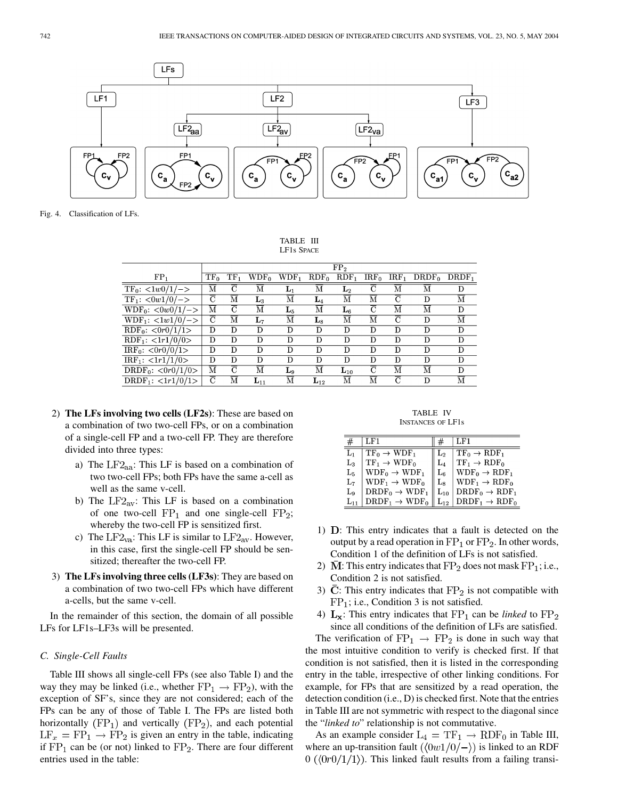

Fig. 4. Classification of LFs.

TABLE III LF1s SPACE

|                                               |                |                 |                |                |                | FP <sub>2</sub>  |         |                  |                   |                   |
|-----------------------------------------------|----------------|-----------------|----------------|----------------|----------------|------------------|---------|------------------|-------------------|-------------------|
| FP <sub>1</sub>                               | $TF_0$         | TF <sub>1</sub> | WDF0           | WDF1           | $RDF_0$        | RDF <sub>1</sub> | $IRF_0$ | IRF <sub>1</sub> | DRDF <sub>0</sub> | DRDF <sub>1</sub> |
| $TF_0$ : $\langle 1w0/1/\rangle$              | М              | С               | М              | $\mathbf{L}_1$ | М              | $\mathbf{L}_2$   | C       | М                | М                 | D                 |
| $TF_1$ : <0w1/0/->                            | $\overline{C}$ | Μ               | $L_3$          | М              | ${\bf L}_4$    | М                | М       | $\overline{C}$   | D                 | М                 |
| $WDF_0$ : $\langle 0w0/1/\rangle$             | М              | С               | М              | $\mathbf{L}_5$ | M              | $\mathbf{L}_{6}$ | C       | M                | М                 | D                 |
| $WDF_1$ : $\langle 1w1/0/\rangle$             | C              | Μ               | $\mathbf{L}_7$ | М              | $\mathbf{L}_8$ | М                | М       | $\mathcal{C}$    | D                 | М                 |
| $RDF_0$ : < 0r0/1/1>                          | D              | D               | D              | D              | D              | D                | ת       | D                | D                 | D                 |
| $RDF_1$ : <1r1/0/0>                           | D              | D               | D              | D              | D              | D                | ח       | D                | D                 | D                 |
| IRF <sub>0</sub> : $\langle 0r0/0/1 \rangle$  | D              | D               | D              | D              | ת              | D                | D       | D                | D                 | D                 |
| $IRF_1$ : $\langle 1r1/1/0 \rangle$           | D              | D               | D              | D              | D              | D                | D       | D                | D                 | D                 |
| $DRDF_0$ : < $Or0/1/0>$                       | M              | С               | M              | Lq             | M              | $L_{10}$         | C       | M                | М                 | D                 |
| DRDF <sub>1</sub> : $\langle 1r1/0/1 \rangle$ | $\overline{C}$ | М               | ${\bf L}_{11}$ | М              | $L_{12}$       | М                | М       | $\overline{C}$   | D                 | М                 |

- 2) **The LFs involving two cells (LF2s)**: These are based on a combination of two two-cell FPs, or on a combination of a single-cell FP and a two-cell FP. They are therefore divided into three types:
	- a) The  $LF2_{aa}$ : This LF is based on a combination of two two-cell FPs; both FPs have the same a-cell as well as the same v-cell.
	- b) The  $LF2_{av}$ : This LF is based on a combination of one two-cell  $FP_1$  and one single-cell  $FP_2$ ; whereby the two-cell FP is sensitized first.
	- c) The  $LF2_{va}$ : This LF is similar to  $LF2_{av}$ . However, in this case, first the single-cell FP should be sensitized; thereafter the two-cell FP.
- 3) **The LFs involving three cells (LF3s)**: They are based on a combination of two two-cell FPs which have different a-cells, but the same v-cell.

In the remainder of this section, the domain of all possible LFs for LF1s–LF3s will be presented.

### *C. Single-Cell Faults*

Table III shows all single-cell FPs (see also Table I) and the way they may be linked (i.e., whether  $FP_1 \rightarrow FP_2$ ), with the exception of SF's, since they are not considered; each of the FPs can be any of those of Table I. The FPs are listed both horizontally  $(FP_1)$  and vertically  $(FP_2)$ , and each potential  $LF_x = FP_1 \rightarrow FP_2$  is given an entry in the table, indicating if  $FP<sub>1</sub>$  can be (or not) linked to  $FP<sub>2</sub>$ . There are four different entries used in the table:

TABLE IV INSTANCES OF LF1s

|           | LF1                        |                                | LF1                        |
|-----------|----------------------------|--------------------------------|----------------------------|
| L۱        | $TF_0 \rightarrow WDF_1$   | L٥                             | $TF_0 \rightarrow RDF_1$   |
| $\rm L_3$ | $TF_1 \rightarrow WDF_0$   | L4                             | $TF_1 \rightarrow RDF_0$   |
| $\rm L_5$ | $ WDF_0 \rightarrow WDF_1$ | $\rm L_{\scriptscriptstyle B}$ | $WDF_0 \rightarrow RDF_1$  |
| $\rm L_7$ | $WDF_1 \rightarrow WDF_0$  | Lg                             | $ WDF_1 \rightarrow RDF_0$ |
| Lq        | $DRDF_0 \rightarrow WDF_1$ | L10                            | $DRDF_0 \rightarrow RDF_1$ |
|           | $DRDF_1 \rightarrow WDF_0$ |                                | $DRDF_1 \rightarrow RDF_0$ |

- 1)  $\mathbf{D}$ : This entry indicates that a fault is detected on the output by a read operation in  $FP<sub>1</sub>$  or  $FP<sub>2</sub>$ . In other words, Condition 1 of the definition of LFs is not satisfied.
- 2)  $\overline{M}$ : This entry indicates that  $FP_2$  does not mask  $FP_1$ ; i.e., Condition 2 is not satisfied.
- 3) C: This entry indicates that  $FP<sub>2</sub>$  is not compatible with  $FP<sub>1</sub>$ ; i.e., Condition 3 is not satisfied.
- 4)  $\mathbf{L}_{\mathbf{x}}$ : This entry indicates that FP<sub>1</sub> can be *linked* to FP<sub>2</sub> since all conditions of the definition of LFs are satisfied. The verification of  $FP_1 \rightarrow FP_2$  is done in such way that

the most intuitive condition to verify is checked first. If that condition is not satisfied, then it is listed in the corresponding entry in the table, irrespective of other linking conditions. For example, for FPs that are sensitized by a read operation, the detection condition (i.e., D) is checked first. Note that the entries in Table III are not symmetric with respect to the diagonal since the "*linked to*" relationship is not commutative.

As an example consider  $L_4 = TF_1 \rightarrow RDF_0$  in Table III, where an up-transition fault  $(\langle 0w1/0/- \rangle)$  is linked to an RDF  $0$  ( $\langle 0r0/1/1 \rangle$ ). This linked fault results from a failing transi-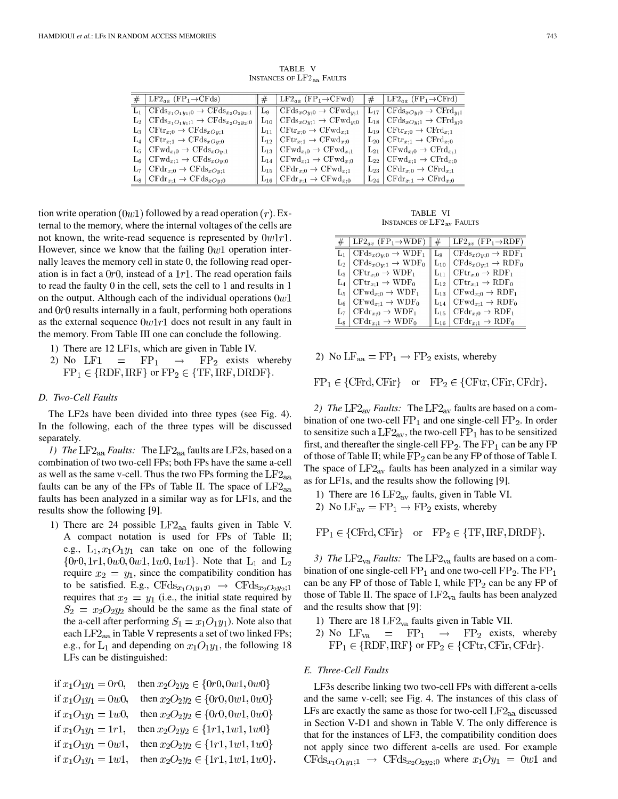| LF2 <sub>aa</sub> (FP <sub>1</sub> $\rightarrow$ CFds)                                                                                  |       | $\vert$ LF2 <sub>aa</sub> (FP <sub>1</sub> $\rightarrow$ CFwd)              | $\parallel \# \parallel \text{LF2}_{aa} (\text{FP}_1 \rightarrow \text{CFrd})$ |
|-----------------------------------------------------------------------------------------------------------------------------------------|-------|-----------------------------------------------------------------------------|--------------------------------------------------------------------------------|
| $L_1$ CFds <sub>x<sub>1</sub>O<sub>1</sub>y<sub>1</sub>;0</sub> $\rightarrow$ CFds <sub>x<sub>2</sub>O<sub>2</sub>y<sub>2</sub>;1</sub> | $L_9$ | $\vert \text{ CFds}_{xOy;0} \rightarrow \text{CFwd}_{y;1}$                  | $L_{17}$ CFds <sub><i>xOy</i>;0</sub> $\rightarrow$ CFrd <sub>y;1</sub>        |
| $L_2$ CFds <sub>x<sub>1</sub>O<sub>1</sub>y<sub>1</sub>;1</sub> $\rightarrow$ CFds <sub>x<sub>2</sub>O<sub>2</sub>y<sub>2</sub>;0</sub> |       | $L_{10}$ CFds <sub>xOy;1</sub> $\rightarrow$ CFwd <sub>y;0</sub>            | $L_{18}$ CFds <sub>xOy;1</sub> $\rightarrow$ CFrd <sub>y;0</sub>               |
| $L_3$ CFtr <sub>x;0</sub> $\rightarrow$ CFds <sub>xOy;1</sub>                                                                           |       | $L_{11}$ CFtr <sub>x;0</sub> $\rightarrow$ CFwd <sub>x;1</sub>              | $L_{19}$ CFtr <sub>x;0</sub> $\rightarrow$ CFrd <sub>x;1</sub>                 |
| $L_4$ CFtr <sub>x;1</sub> $\rightarrow$ CFds <sub>xOy;0</sub>                                                                           |       | $L_{12}$   CFtr <sub>x;1</sub> $\rightarrow$ CFwd <sub>x;0</sub>            | $L_{20}$ CFtr <sub>x;1</sub> $\rightarrow$ CFrd <sub>x;0</sub>                 |
| $L_5 \mid CFwd_{x;0} \rightarrow CFds_{xOy;1}$                                                                                          |       | $\vert\vert_{L_{13}}\vert \text{ CFwd}_{x;0} \rightarrow \text{CFwd}_{x;1}$ | $L_{21}$ CFwd <sub>x;0</sub> $\rightarrow$ CFrd <sub>x;1</sub>                 |
| $L_6$ CFwd <sub>x;1</sub> $\rightarrow$ CFds <sub>xOy;0</sub>                                                                           |       | $\mathsf{L}_{14} \mid \text{CFwd}_{x;1} \rightarrow \text{CFwd}_{x;0}$      | $L_{22}$ CFwd <sub>x;1</sub> $\rightarrow$ CFrd <sub>x;0</sub>                 |
| $L_7$ CFdr <sub>x;0</sub> $\rightarrow$ CFds <sub>xOy;1</sub>                                                                           |       | $L_{15}$ CFdr <sub>x;0</sub> $\rightarrow$ CFwd <sub>x;1</sub>              | $L_{23}$ CFdr <sub>x;0</sub> $\rightarrow$ CFrd <sub>x;1</sub>                 |
| $L_8   \text{CFdr}_{x;1} \rightarrow \text{CFds}_{xOy;0}$                                                                               |       | $L_{16}$ CFdr <sub>x;1</sub> $\rightarrow$ CFwd <sub>x;0</sub>              | $L_{24}$ CFdr <sub>x;1</sub> $\rightarrow$ CFrd <sub>x;0</sub>                 |

TABLE V INSTANCES OF  $\mathrm{LF2}_{\mathrm{aa}}$  FAULTS

tion write operation  $(0w1)$  followed by a read operation  $(r)$ . External to the memory, where the internal voltages of the cells are not known, the write-read sequence is represented by  $0w1r1$ . However, since we know that the failing  $0w1$  operation internally leaves the memory cell in state 0, the following read operation is in fact a  $0r0$ , instead of a 1r1. The read operation fails to read the faulty 0 in the cell, sets the cell to 1 and results in 1 on the output. Although each of the individual operations  $0w1$ and  $0r0$  results internally in a fault, performing both operations as the external sequence  $0w1r1$  does not result in any fault in the memory. From Table III one can conclude the following.

- 1) There are 12 LF1s, which are given in Table IV.
- 2) No LF1 =  $FP_1 \rightarrow FP_2$  exists whereby  $FP_1 \in \{RDF, IRF\}$  or  $FP_2 \in \{TF, IRF, DRDF\}.$

# *D. Two-Cell Faults*

The LF2s have been divided into three types (see Fig. 4). In the following, each of the three types will be discussed separately.

*1) The* LF2<sub>aa</sub> Faults: The LF2<sub>aa</sub> faults are LF2s, based on a combination of two two-cell FPs; both FPs have the same a-cell as well as the same v-cell. Thus the two FPs forming the  $\text{LF2}_{\text{aa}}$ faults can be any of the FPs of Table II. The space of  $\text{LF2}_{\text{aa}}$ faults has been analyzed in a similar way as for LF1s, and the results show the following [\[9](#page-19-0)].

1) There are 24 possible  $LF2_{aa}$  faults given in Table V. A compact notation is used for FPs of Table II; e.g.,  $L_1$ ,  $x_1O_1y_1$  can take on one of the following  $\{0r0, 1r1, 0w0, 0w1, 1w0, 1w1\}$ . Note that  $L_1$  and  $L_2$ require  $x_2 = y_1$ , since the compatibility condition has to be satisfied. E.g.,  $\text{CFds}_{x_1O_1y_1;0} \rightarrow \text{CFds}_{x_2O_2y_2;1}$ requires that  $x_2 = y_1$  (i.e., the initial state required by  $S_2 = x_2O_2y_2$  should be the same as the final state of the a-cell after performing  $S_1 = x_1 O_1 y_1$ . Note also that each  $LF2_{aa}$  in Table V represents a set of two linked FPs; e.g., for  $L_1$  and depending on  $x_1O_1y_1$ , the following 18 LFs can be distinguished:

if 
$$
x_1O_1y_1 = 0r0
$$
, then  $x_2O_2y_2 \in \{0r0, 0w1, 0w0\}$   
if  $x_1O_1y_1 = 0w0$ , then  $x_2O_2y_2 \in \{0r0, 0w1, 0w0\}$   
if  $x_1O_1y_1 = 1w0$ , then  $x_2O_2y_2 \in \{0r0, 0w1, 0w0\}$   
if  $x_1O_1y_1 = 1r1$ , then  $x_2O_2y_2 \in \{1r1, 1w1, 1w0\}$   
if  $x_1O_1y_1 = 0w1$ , then  $x_2O_2y_2 \in \{1r1, 1w1, 1w0\}$   
if  $x_1O_1y_1 = 1w1$ , then  $x_2O_2y_2 \in \{1r1, 1w1, 1w0\}$ 

TABLE VI INSTANCES OF  $\mathrm{LF2}_{\mathrm{av}}$  FAULTS

|       | $\#$   LF2 <sub>av</sub> (FP <sub>1</sub> $\rightarrow$ WDF)        | #                 | LF2 <sub>av</sub> (FP <sub>1</sub> $\rightarrow$ RDF) |
|-------|---------------------------------------------------------------------|-------------------|-------------------------------------------------------|
|       | $L_1$   CFds <sub><i>xOy</i>;0</sub> $\rightarrow$ WDF <sub>1</sub> | Lq                | $CFds_{xOy;0} \rightarrow RDF_1$                      |
|       | $L_2$   CFds <sub><i>xOy</i>;1</sub> $\rightarrow$ WDF <sub>0</sub> | $L_{10}$          | $\mathrm{CFds}_{xOy;1}\to\mathrm{RDF}_0$              |
|       | $L_3 \vert \text{CFtr}_{x;0} \to \text{WDF}_1 \vert$                | $L_{11}$          | $C Ftr_{x;0} \rightarrow RDF_1$                       |
|       | $L_4 \mid CFtr_{x;1} \rightarrow WDF_0$                             | $L_{12}$          | $CFr_{x;1} \rightarrow RDF_0$                         |
|       | $L_5 \mid CFwd_{x;0} \rightarrow WDF_1$                             | $\mathsf{L}_{13}$ | $CFwd_{x;0} \rightarrow RDF_1$                        |
|       | $L_6$   $CFwd_{x:1} \rightarrow WDF_0$                              | $ L_{14} $        | $CFwd_{x;1} \rightarrow RDF_0$                        |
| $L_7$ | $\vert \text{ CFdr}_{x;0} \rightarrow \text{WDF}_1 \vert$           | $L_{15}$          | $C Fdr_{x;0} \rightarrow RDF_1$                       |
|       | $L_8$   CFdr <sub>x;1</sub> $\rightarrow$ WDF <sub>0</sub>          | $L_{16}$          | $C Fdr_{x;1} \rightarrow RDF_0$                       |

2) No  $LF_{aa} = FP_1 \rightarrow FP_2$  exists, whereby

 $FP_1 \in \{CFrd, CFir\}$  or  $FP_2 \in \{CFtr, CFir, CFdr\}.$ 

2) The  $\text{LF2}_{av}$  Faults: The  $\text{LF2}_{av}$  faults are based on a combination of one two-cell  $FP<sub>1</sub>$  and one single-cell  $FP<sub>2</sub>$ . In order to sensitize such a  $LF2<sub>av</sub>$ , the two-cell  $FP<sub>1</sub>$  has to be sensitized first, and thereafter the single-cell  $FP_2$ . The  $FP_1$  can be any FP of those of Table II; while  $FP<sub>2</sub>$  can be any FP of those of Table I. The space of  $LF2_{av}$  faults has been analyzed in a similar way as for LF1s, and the results show the following [[9\]](#page-19-0).

1) There are 16  $LF2<sub>av</sub>$  faults, given in Table VI.

2) No  $LF_{av} = FP_1 \rightarrow FP_2$  exists, whereby

$$
FP_1 \in \{CFrd, CFir\} \quad \text{or} \quad FP_2 \in \{TF, IRF, DRDF\}.
$$

*3) The*  $\text{LF2}_{\text{va}}$  *Faults:* The  $\text{LF2}_{\text{va}}$  faults are based on a combination of one single-cell  $FP<sub>1</sub>$  and one two-cell  $FP<sub>2</sub>$ . The  $FP<sub>1</sub>$ can be any FP of those of Table I, while  $FP<sub>2</sub>$  can be any FP of those of Table II. The space of  $LF2_{va}$  faults has been analyzed and the results show that [[9\]](#page-19-0):

- 1) There are 18  $LF2_{va}$  faults given in Table VII.
- 2) No  $LF<sub>va</sub>$  =  $FP<sub>1</sub>$   $\rightarrow$   $FP<sub>2</sub>$  exists, whereby  $FP_1 \in \{RDF, IRF\}$  or  $FP_2 \in \{CFtr, CFir, CFdr\}.$

# *E. Three-Cell Faults*

LF3s describe linking two two-cell FPs with different a-cells and the same v-cell; see Fig. 4. The instances of this class of LFs are exactly the same as those for two-cell  $\text{LF2}_{\text{aa}}$  discussed in Section V-D1 and shown in Table V. The only difference is that for the instances of LF3, the compatibility condition does not apply since two different a-cells are used. For example  $CFds_{x_1O_1y_1;1} \rightarrow CFds_{x_2O_2y_2;0}$  where  $x_1Oy_1 = 0w1$  and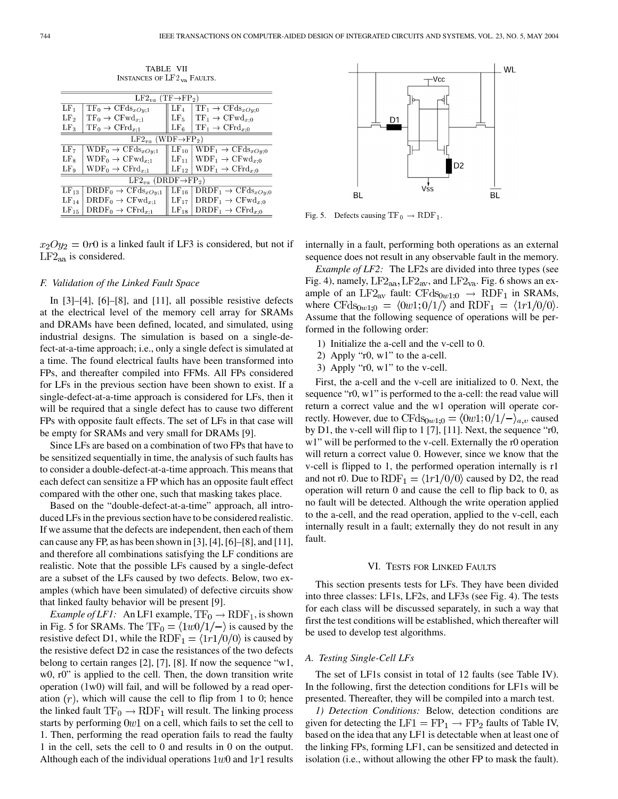TABLE VII INSTANCES OF  $\mathrm{LF2}_{\mathrm{va}}$  FAULTS.  $LF2_{va}$  (TF $\rightarrow$ FP<sub>2</sub>)  $TF_0 \rightarrow CFds_{xOy;1}$  $\mathrm{LF}_{1}$  $LF<sub>4</sub>$  $TF_1 \rightarrow CFds_{xOy;0}$  $\mathrm{LF}_{5}$  $TF_0 \rightarrow CFwd_{x;1}$  $TF_1 \rightarrow CFwd_{x;0}$  $LF<sub>2</sub>$  $TF_0 \rightarrow CFrd_{x,1}$  $TF_1 \rightarrow CFrd_{x;0}$  $LF<sub>3</sub>$  $LF<sub>6</sub>$  $LF2_{va}$  (WDF $\rightarrow$ FP<sub>2</sub>)  $WDF_0 \rightarrow CFds_{xOy;1}$  $LF<sub>7</sub>$  $LF_{10}$  $WDF_1 \rightarrow CFds_{xOy;0}$  $LF<sub>8</sub>$  $WDF_0 \rightarrow CFwd_{x;1}$  $WDF_1 \rightarrow CFwd_{x;0}$  $LF_{11}$  $WDF_0 \rightarrow CFrd_{x,1}$  $WDF_1 \rightarrow CFrd_{x;0}$  $LF<sub>9</sub>$  $LF_{12}$  $LF2_{va}$  (DRDF $\rightarrow$ FP<sub>2</sub>  $\overline{\rm LF_{13}}$  $DRDF_0 \rightarrow CFds_{xOy;1}$  $LF_{16} | DRDF_1 \rightarrow CFds_{xOy;0}$  $\mathrm{LF}_{14}$  $\mathrm{DRDF}_0 \rightarrow \mathrm{CFwd}_{x;1}$  $\mathrm{LF}_{17}$  $DRDF_1 \rightarrow CFwd_{x;0}$  $\mathrm{LF}_{15}$  $DRDF_0 \rightarrow CFrd_{x,1}$  $\mathrm{LF}_{18}$  $DRDF_1 \rightarrow CFrd_{x;0}$ 

 $x_2Oy_2 = 0r0$  is a linked fault if LF3 is considered, but not if  $LF2<sub>aa</sub>$  is considered.

# *F. Validation of the Linked Fault Space*

In [\[3](#page-19-0)]–[\[4](#page-19-0)], [\[6](#page-19-0)]–[\[8](#page-19-0)], and [\[11](#page-19-0)], all possible resistive defects at the electrical level of the memory cell array for SRAMs and DRAMs have been defined, located, and simulated, using industrial designs. The simulation is based on a single-defect-at-a-time approach; i.e., only a single defect is simulated at a time. The found electrical faults have been transformed into FPs, and thereafter compiled into FFMs. All FPs considered for LFs in the previous section have been shown to exist. If a single-defect-at-a-time approach is considered for LFs, then it will be required that a single defect has to cause two different FPs with opposite fault effects. The set of LFs in that case will be empty for SRAMs and very small for DRAMs [\[9](#page-19-0)].

Since LFs are based on a combination of two FPs that have to be sensitized sequentially in time, the analysis of such faults has to consider a double-defect-at-a-time approach. This means that each defect can sensitize a FP which has an opposite fault effect compared with the other one, such that masking takes place.

Based on the "double-defect-at-a-time" approach, all introduced LFs in the previous section have to be considered realistic. If we assume that the defects are independent, then each of them can cause any FP, as has been shown in [[3\]](#page-19-0), [[4\]](#page-19-0), [\[6](#page-19-0)]–[[8\]](#page-19-0), and [[11\]](#page-19-0), and therefore all combinations satisfying the LF conditions are realistic. Note that the possible LFs caused by a single-defect are a subset of the LFs caused by two defects. Below, two examples (which have been simulated) of defective circuits show that linked faulty behavior will be present [[9\]](#page-19-0).

*Example of LF1:* An LF1 example,  $TF_0 \rightarrow RDF_1$ , is shown in Fig. 5 for SRAMs. The  $TF_0 = \langle 1w0/1/- \rangle$  is caused by the resistive defect D1, while the RDF<sub>1</sub> =  $\langle 1r1/0/0 \rangle$  is caused by the resistive defect D2 in case the resistances of the two defects belong to certain ranges [[2\]](#page-19-0), [\[7](#page-19-0)], [\[8](#page-19-0)]. If now the sequence "w1, w0, r0" is applied to the cell. Then, the down transition write operation (1w0) will fail, and will be followed by a read operation  $(r)$ , which will cause the cell to flip from 1 to 0; hence the linked fault  $TF_0 \rightarrow RDF_1$  will result. The linking process starts by performing  $0w1$  on a cell, which fails to set the cell to 1. Then, performing the read operation fails to read the faulty 1 in the cell, sets the cell to 0 and results in 0 on the output. Although each of the individual operations  $1w0$  and  $1r1$  results



Fig. 5. Defects causing  $TF_0 \rightarrow RDF_1$ .

internally in a fault, performing both operations as an external sequence does not result in any observable fault in the memory.

*Example of LF2*: The LF2s are divided into three types (see Fig. 4), namely,  $\text{LF2}_{\text{aa}}$ ,  $\text{LF2}_{\text{av}}$ , and  $\text{LF2}_{\text{va}}$ . Fig. 6 shows an example of an LF2<sub>av</sub> fault: CFds<sub>0w1;0</sub>  $\rightarrow$  RDF<sub>1</sub> in SRAMs, where  $CFds_{0w1;0} = \langle 0w1; 0/1/\rangle$  and  $RDF_1 = \langle 1r1/0/0 \rangle$ . Assume that the following sequence of operations will be performed in the following order:

- 1) Initialize the a-cell and the v-cell to 0.
- 2) Apply "r0, w1" to the a-cell.
- 3) Apply "r0, w1" to the v-cell.

First, the a-cell and the v-cell are initialized to 0. Next, the sequence "r0, w1" is performed to the a-cell: the read value will return a correct value and the w1 operation will operate correctly. However, due to  $CFds_{0w1;0} = \langle 0w1; 0/1/\rangle_{a,v}$  caused by D1, the v-cell will flip to 1 [\[7](#page-19-0)], [[11\]](#page-19-0). Next, the sequence "r0, w1" will be performed to the v-cell. Externally the r0 operation will return a correct value 0. However, since we know that the v-cell is flipped to 1, the performed operation internally is r1 and not r0. Due to  $RDF_1 = \langle 1r1/0/0 \rangle$  caused by D2, the read operation will return 0 and cause the cell to flip back to 0, as no fault will be detected. Although the write operation applied to the a-cell, and the read operation, applied to the v-cell, each internally result in a fault; externally they do not result in any fault.

#### VI. TESTS FOR LINKED FAULTS

This section presents tests for LFs. They have been divided into three classes: LF1s, LF2s, and LF3s (see Fig. 4). The tests for each class will be discussed separately, in such a way that first the test conditions will be established, which thereafter will be used to develop test algorithms.

### *A. Testing Single-Cell LFs*

The set of LF1s consist in total of 12 faults (see Table IV). In the following, first the detection conditions for LF1s will be presented. Thereafter, they will be compiled into a march test.

*1) Detection Conditions:* Below, detection conditions are given for detecting the LF1 =  $FP_1 \rightarrow FP_2$  faults of Table IV, based on the idea that any LF1 is detectable when at least one of the linking FPs, forming LF1, can be sensitized and detected in isolation (i.e., without allowing the other FP to mask the fault).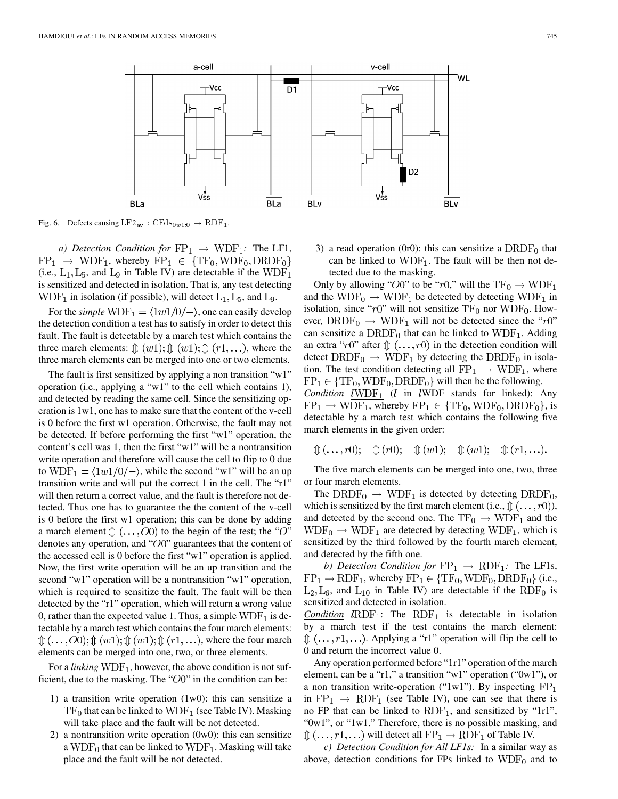

Fig. 6. Defects causing  $LF2_{av}$ : CFds $_{0w1,0}$   $\rightarrow$  RDF<sub>1</sub>.

*a)* Detection Condition for  $\text{FP}_1 \rightarrow \text{WDF}_1$ : The LF1,  $FP_1 \rightarrow WDF_1$ , whereby  $FP_1 \in \{TF_0, WDF_0, DRDF_0\}$ (i.e.,  $L_1, L_5$ , and  $L_9$  in Table IV) are detectable if the  $WDF_1$ is sensitized and detected in isolation. That is, any test detecting  $WDF_1$  in isolation (if possible), will detect  $L_1, L_5$ , and  $L_9$ .

For the *simple*  $WDF_1 = \langle 1w1/0/- \rangle$ , one can easily develop the detection condition a test has to satisfy in order to detect this fault. The fault is detectable by a march test which contains the three march elements:  $\hat{\psi}(w_1); \hat{\psi}(w_1); \hat{\psi}(r_1,...),$  where the three march elements can be merged into one or two elements.

The fault is first sensitized by applying a non transition "w1" operation (i.e., applying a "w1" to the cell which contains 1), and detected by reading the same cell. Since the sensitizing operation is 1w1, one has to make sure that the content of the v-cell is 0 before the first w1 operation. Otherwise, the fault may not be detected. If before performing the first "w1" operation, the content's cell was 1, then the first "w1" will be a nontransition write operation and therefore will cause the cell to flip to 0 due to  $WDF_1 = \langle 1w1/0/- \rangle$ , while the second "w1" will be an up transition write and will put the correct 1 in the cell. The "r1" will then return a correct value, and the fault is therefore not detected. Thus one has to guarantee the the content of the v-cell is 0 before the first w1 operation; this can be done by adding a march element  $\text{D}(\ldots, O0)$  to the begin of the test; the "O" denotes any operation, and " $O0$ " guarantees that the content of the accessed cell is 0 before the first "w1" operation is applied. Now, the first write operation will be an up transition and the second "w1" operation will be a nontransition "w1" operation, which is required to sensitize the fault. The fault will be then detected by the "r1" operation, which will return a wrong value 0, rather than the expected value 1. Thus, a simple  $WDF_1$  is detectable by a march test which contains the four march elements:  $\hat{w}$  (..., O0);  $\hat{w}$  (w1);  $\hat{w}$  (w1);  $\hat{w}$  (r1,...), where the four march elements can be merged into one, two, or three elements.

For a *linking*  $WDF_1$ , however, the above condition is not sufficient, due to the masking. The " $O0$ " in the condition can be:

- 1) a transition write operation (1w0): this can sensitize a  $TF_0$  that can be linked to  $WDF_1$  (see Table IV). Masking will take place and the fault will be not detected.
- 2) a nontransition write operation (0w0): this can sensitize a  $WDF_0$  that can be linked to  $WDF_1$ . Masking will take place and the fault will be not detected.

3) a read operation (0r0): this can sensitize a  $DRDF_0$  that can be linked to  $WDF_1$ . The fault will be then not detected due to the masking.

Only by allowing "O0" to be "r0," will the  $TF_0 \rightarrow WDF_1$ and the  $WDF_0 \rightarrow WDF_1$  be detected by detecting  $WDF_1$  in isolation, since " $r0$ " will not sensitize TF<sub>0</sub> nor WDF<sub>0</sub>. However, DRDF<sub>0</sub>  $\rightarrow$  WDF<sub>1</sub> will not be detected since the "r0" can sensitize a  $DRDF_0$  that can be linked to  $WDF_1$ . Adding an extra " $r0$ " after  $\hat{\mu}$  (...,  $r0$ ) in the detection condition will detect  $DRDF_0 \rightarrow WDF_1$  by detecting the  $DRDF_0$  in isolation. The test condition detecting all  $FP_1 \rightarrow WDF_1$ , where  $FP_1 \in \{TF_0, WDF_0, DRDF_0\}$  will then be the following.  $Condition$   $lWDF_1$  ( $l$  in  $lWDF$  stands for linked): Any  $FP_1 \rightarrow W\overline{DF}_1$ , whereby  $FP_1 \in \{TF_0, WDF_0, DRDF_0\}$ , is detectable by a march test which contains the following five march elements in the given order:

$$
\text{L}(\ldots,r0); \quad \text{L}(r0); \quad \text{L}(w1); \quad \text{L}(w1); \quad \text{L}(r1,\ldots).
$$

The five march elements can be merged into one, two, three or four march elements.

The  $DRDF_0 \rightarrow WDF_1$  is detected by detecting  $DRDF_0$ , which is sensitized by the first march element (i.e.,  $\mathcal{D}$   $(\ldots, r0)$ ), and detected by the second one. The  $TF_0 \rightarrow WDF_1$  and the  $WDF_0 \rightarrow WDF_1$  are detected by detecting  $WDF_1$ , which is sensitized by the third followed by the fourth march element, and detected by the fifth one.

*b)* Detection Condition for  $\text{FP}_1 \rightarrow \text{RDF}_1$ : The LF1s,  $FP_1 \rightarrow RDF_1$ , whereby  $FP_1 \in \{TF_0, WDF_0, DRDF_0\}$  (i.e.,  $L_2, L_6$ , and  $L_{10}$  in Table IV) are detectable if the  $RDF_0$  is sensitized and detected in isolation.

*Condition*  $lRDF_1$ : The  $RDF_1$  is detectable in isolation by a march test if the test contains the march element:  $\mathcal{D}$  (...,  $r1$ ,...). Applying a "r1" operation will flip the cell to 0 and return the incorrect value 0.

Any operation performed before "1r1" operation of the march element, can be a "r1," a transition "w1" operation ("0w1"), or a non transition write-operation ("1w1"). By inspecting  $FP<sub>1</sub>$ in  $FP_1 \rightarrow RDF_1$  (see Table IV), one can see that there is no FP that can be linked to  $RDF_1$ , and sensitized by "1r1", "0w1", or "1w1." Therefore, there is no possible masking, and  $\text{L}(\ldots, r1, \ldots)$  will detect all  $\text{FP}_1 \rightarrow \text{RDF}_1$  of Table IV.

*c) Detection Condition for All LF1s:* In a similar way as above, detection conditions for FPs linked to  $WDF_0$  and to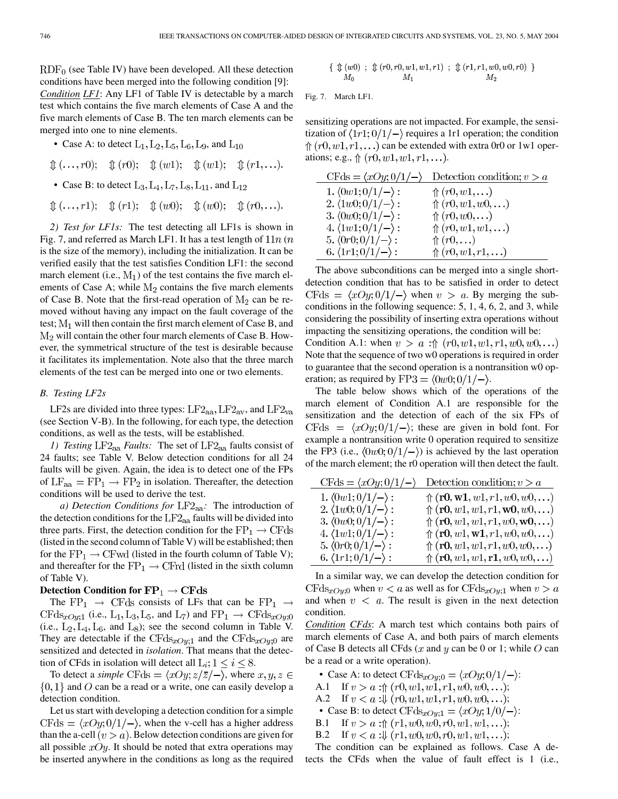$RDF_0$  (see Table IV) have been developed. All these detection conditions have been merged into the following condition [\[9](#page-19-0)]: *Condition LF1*: Any LF1 of Table IV is detectable by a march test which contains the five march elements of Case A and the five march elements of Case B. The ten march elements can be merged into one to nine elements.

• Case A: to detect  $L_1, L_2, L_5, L_6, L_9$ , and  $L_{10}$ and the state of the state of the

$$
\mathbb{U}(\ldots,r0); \quad \mathbb{U}(r0); \quad \mathbb{U}(w1); \quad \mathbb{U}(w1); \quad \mathbb{U}(r1,\ldots).
$$

• Case B: to detect  $L_3, L_4, L_7, L_8, L_{11}$ , and  $L_{12}$ 

$$
\text{L}(\ldots,r1); \quad \text{L}(r1); \quad \text{L}(w0); \quad \text{L}(w0); \quad \text{L}(r0,\ldots).
$$

*2) Test for LF1s:* The test detecting all LF1s is shown in Fig. 7, and referred as March LF1. It has a test length of  $11n(n)$ is the size of the memory), including the initialization. It can be verified easily that the test satisfies Condition LF1: the second march element (i.e.,  $M_1$ ) of the test contains the five march elements of Case A; while  $M_2$  contains the five march elements of Case B. Note that the first-read operation of  $M_2$  can be removed without having any impact on the fault coverage of the test;  $M_1$  will then contain the first march element of Case B, and  $M<sub>2</sub>$  will contain the other four march elements of Case B. However, the symmetrical structure of the test is desirable because it facilitates its implementation. Note also that the three march elements of the test can be merged into one or two elements.

#### *B. Testing LF2s*

LF2s are divided into three types:  $\text{LF2}_{\text{aa}}, \text{LF2}_{\text{av}},$  and  $\text{LF2}_{\text{va}}$ (see Section V-B). In the following, for each type, the detection conditions, as well as the tests, will be established.

*1) Testing*  $LF2<sub>aa</sub>$  *Faults:* The set of  $LF2<sub>aa</sub>$  faults consist of 24 faults; see Table V. Below detection conditions for all 24 faults will be given. Again, the idea is to detect one of the FPs of  $LF_{aa} = FP_1 \rightarrow FP_2$  in isolation. Thereafter, the detection conditions will be used to derive the test.

*a) Detection Conditions for* LF2<sub>aa</sub>: The introduction of the detection conditions for the  $LF2<sub>aa</sub>$  faults will be divided into three parts. First, the detection condition for the  $FP_1 \rightarrow CFds$ (listed in the second column of Table V) will be established; then for the  $FP_1 \rightarrow CFwd$  (listed in the fourth column of Table V); and thereafter for the  $FP_1 \rightarrow CFrd$  (listed in the sixth column of Table V).

# **Detection Condition for**  $\mathbf{FP}_1 \rightarrow \mathbf{CFds}$

The FP<sub>1</sub>  $\rightarrow$  CFds consists of LFs that can be FP<sub>1</sub>  $\rightarrow$  $\text{CFds}_{xOy;1}$  (i.e.,  $\text{L}_1, \text{L}_3, \text{L}_5$ , and  $\text{L}_7$ ) and  $\text{FP}_1 \rightarrow \text{CFds}_{xOy;0}$ (i.e.,  $L_2$ ,  $L_4$ ,  $L_6$ , and  $L_8$ ); see the second column in Table V. They are detectable if the  $CFds_{xOy;1}$  and the  $CFds_{xOy;0}$  are sensitized and detected in *isolation*. That means that the detection of CFds in isolation will detect all  $L_i$ :  $1 \le i \le 8$ .

To detect a *simple* CFds =  $\langle xOy; z/\overline{z}/\rangle$ , where  $x, y, z \in$  $\{0,1\}$  and O can be a read or a write, one can easily develop a detection condition.

Let us start with developing a detection condition for a simple  $CFds = \langle xOy; 0/1/- \rangle$ , when the v-cell has a higher address than the a-cell  $(v > a)$ . Below detection conditions are given for all possible  $xOy$ . It should be noted that extra operations may be inserted anywhere in the conditions as long as the required

$$
\{\begin{array}{c}\n\updownarrow(w0) \\
M_0\n\end{array};\ \begin{array}{c}\n\updownarrow(r0,r0,w1,w1,r1) \\
M_1\n\end{array};\ \begin{array}{c}\n\updownarrow(r1,r1,w0,w0,r0) \\
M_2\n\end{array}\}
$$

Fig. 7. March LF1.

sensitizing operations are not impacted. For example, the sensitization of  $\langle 1r1; 0/1/\rangle$  requires a 1r1 operation; the condition  $\Uparrow$  (r0, w1, r1, ...) can be extended with extra 0r0 or 1w1 operations; e.g.,  $\Uparrow$   $(r0, w1, w1, r1, \ldots)$ .

| $CFds = \langle xOy; 0/1/- \rangle$ | Detection condition; $v > a$      |
|-------------------------------------|-----------------------------------|
| 1. $\langle 0w1; 0/1/- \rangle$ :   | $\Uparrow$ $(r0, w1, \ldots)$     |
| 2. $\langle 1w0; 0/1/- \rangle$ :   | $\Uparrow$ $(r0, w1, w0, \ldots)$ |
| 3. $\langle 0w0; 0/1/- \rangle$ :   | $\Uparrow$ (r0, w0, )             |
| 4. $\langle 1w1; 0/1/- \rangle$ :   | $\Uparrow$ (r0, w1, w1, )         |
| 5. $\langle 0r0; 0/1/- \rangle$ :   | $\Uparrow$ $(r0,)$                |
| 6. $\langle 1r1; 0/1/- \rangle$ :   | $\Uparrow$ (r0, w1, r1, )         |

The above subconditions can be merged into a single shortdetection condition that has to be satisfied in order to detect  $CFds = \langle xOy; 0/1/\rangle$  when  $v > a$ . By merging the subconditions in the following sequence: 5, 1, 4, 6, 2, and 3, while considering the possibility of inserting extra operations without impacting the sensitizing operations, the condition will be: Condition A.1: when  $v > a$ ;  $\Uparrow (r0, w1, w1, r1, w0, w0, ...)$ Note that the sequence of two w0 operations is required in order to guarantee that the second operation is a nontransition w0 operation; as required by  $FP3 = \langle 0w0; 0/1/- \rangle$ .

The table below shows which of the operations of the march element of Condition A.1 are responsible for the sensitization and the detection of each of the six FPs of CFds =  $\langle xOy; 0/1/- \rangle$ ; these are given in bold font. For example a nontransition write 0 operation required to sensitize the FP3 (i.e.,  $\langle 0w0; 0/1/- \rangle$ ) is achieved by the last operation of the march element; the r0 operation will then detect the fault.

| $CFds = \langle xOy; 0/1/\rightarrow$ | Detection condition; $v > a$          |
|---------------------------------------|---------------------------------------|
| 1. $\langle 0w1; 0/1/- \rangle$ :     | $\Uparrow$ (r0, w1, w1, r1, w0, w0, ) |
| 2. $\langle 1w0; 0/1/- \rangle$ :     | $\Uparrow$ (r0, w1, w1, r1, w0, w0, ) |
| 3. $\langle 0w0; 0/1/- \rangle$ :     | $\Uparrow$ (r0, w1, w1, r1, w0, w0, ) |
| $4. \langle 1w1; 0/1/- \rangle$ :     | $\Uparrow$ (r0, w1, w1, r1, w0, w0, ) |
| 5. $\langle 0r0; 0/1/- \rangle$ :     | $\Uparrow$ (r0, w1, w1, r1, w0, w0,)  |
| 6. $\langle 1r1; 0/1/- \rangle$ :     | $\Uparrow$ (r0, w1, w1, r1, w0, w0,)  |

In a similar way, we can develop the detection condition for  $\text{CFds}_{xOv:0}$  when  $v < a$  as well as for  $\text{CFds}_{xOv:1}$  when  $v > a$ and when  $v < a$ . The result is given in the next detection condition.

*Condition CFds*: A march test which contains both pairs of march elements of Case A, and both pairs of march elements of Case B detects all CFds ( $x$  and  $y$  can be 0 or 1; while  $O$  can be a read or a write operation).

• Case A: to detect  $CFds_{xOy;0} = \langle xOy; 0/1/- \rangle$ : A.1 If  $v > a : \Uparrow (r0, w1, w1, r1, w0, w0, ...)$ ; A.2 If  $v < a : \Downarrow (r0, w1, w1, r1, w0, w0, ...)$ ; • Case B: to detect  $CFds_{xOy;1} = \langle xOy; 1/0/- \rangle$ : B.1 If  $v > a : \Uparrow (r1, w0, w0, r0, w1, w1, ...)$ ; B.2 If  $v < a : \Vdash (r1, w0, w0, r0, w1, w1, ...)$ ; The condition can be explained as follows. Case A de-

tects the CFds when the value of fault effect is 1 (i.e.,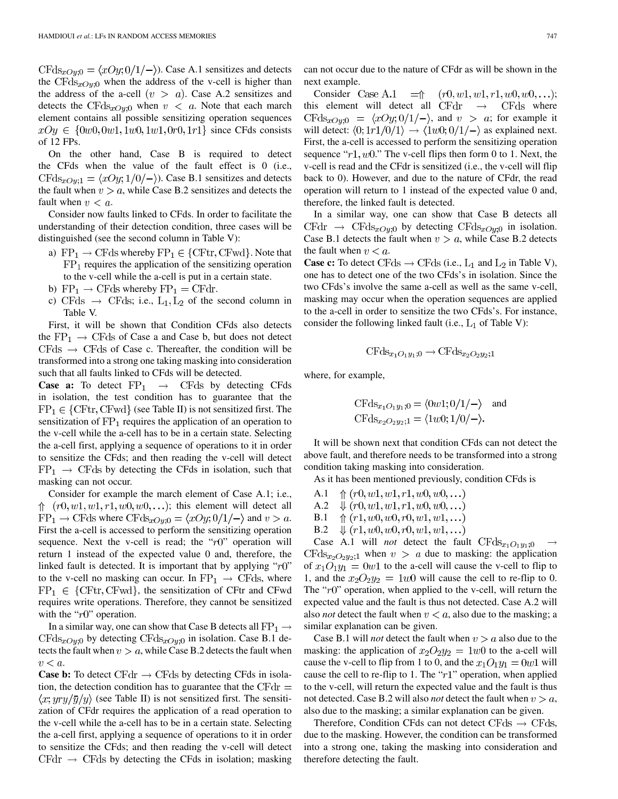$CFds_{xOy;0} = \langle xOy; 0/1/- \rangle$ . Case A.1 sensitizes and detects the  $CFds_{xOy,0}$  when the address of the v-cell is higher than the address of the a-cell  $(v > a)$ . Case A.2 sensitizes and detects the CFds<sub>xOu:0</sub> when  $v < a$ . Note that each march element contains all possible sensitizing operation sequences  $xOy \in \{0w0, 0w1, 1w0, 1w1, 0r0, 1r1\}$  since CFds consists of 12 FPs.

On the other hand, Case B is required to detect the CFds when the value of the fault effect is 0 (i.e.,  $\text{CFds}_{xOy:1} = \langle xOy; 1/0/- \rangle$ . Case B.1 sensitizes and detects the fault when  $v > a$ , while Case B.2 sensitizes and detects the fault when  $v < a$ .

Consider now faults linked to CFds. In order to facilitate the understanding of their detection condition, three cases will be distinguished (see the second column in Table V):

- a)  $FP_1 \rightarrow CFds$  whereby  $FP_1 \in \{CFtr, CFwd\}$ . Note that  $FP<sub>1</sub>$  requires the application of the sensitizing operation to the v-cell while the a-cell is put in a certain state.
- b)  $\text{FP}_1 \rightarrow \text{CFds}$  whereby  $\text{FP}_1 = \text{CFdr}$ .
- c) CFds  $\rightarrow$  CFds; i.e., L<sub>1</sub>, L<sub>2</sub> of the second column in Table V.

First, it will be shown that Condition CFds also detects the  $FP_1 \rightarrow CFds$  of Case a and Case b, but does not detect  $C F ds \rightarrow C F ds$  of Case c. Thereafter, the condition will be transformed into a strong one taking masking into consideration such that all faults linked to CFds will be detected.

**Case a:** To detect  $\text{FP}_1 \rightarrow \text{CFds}$  by detecting CFds in isolation, the test condition has to guarantee that the  $FP_1 \in \{CFtr, CFwd\}$  (see Table II) is not sensitized first. The sensitization of  $FP<sub>1</sub>$  requires the application of an operation to the v-cell while the a-cell has to be in a certain state. Selecting the a-cell first, applying a sequence of operations to it in order to sensitize the CFds; and then reading the v-cell will detect  $FP_1 \rightarrow CFds$  by detecting the CFds in isolation, such that masking can not occur.

Consider for example the march element of Case A.1; i.e.,  $\Uparrow$   $(r0, w1, w1, r1, w0, w0, ...)$ ; this element will detect all  $FP_1 \rightarrow CFds$  where  $CFds_{xOv:0} = \langle xOy; 0/1/- \rangle$  and  $v > a$ . First the a-cell is accessed to perform the sensitizing operation sequence. Next the v-cell is read; the " $r0$ " operation will return 1 instead of the expected value 0 and, therefore, the linked fault is detected. It is important that by applying " $r0$ " to the v-cell no masking can occur. In  $FP_1 \rightarrow CFds$ , where  $FP_1 \in \{CFtr, CFwd\}$ , the sensitization of CFtr and CFwd requires write operations. Therefore, they cannot be sensitized with the " $r0$ " operation.

In a similar way, one can show that Case B detects all  $FP_1 \rightarrow$  $\text{CFds}_{xOy,0}$  by detecting  $\text{CFds}_{xOy,0}$  in isolation. Case B.1 detects the fault when  $v > a$ , while Case B.2 detects the fault when  $v < a$ .

**Case b:** To detect CFdr  $\rightarrow$  CFds by detecting CFds in isolation, the detection condition has to guarantee that the  $C F dr =$  $\langle x; yry/\bar{y}/y \rangle$  (see Table II) is not sensitized first. The sensitization of CFdr requires the application of a read operation to the v-cell while the a-cell has to be in a certain state. Selecting the a-cell first, applying a sequence of operations to it in order to sensitize the CFds; and then reading the v-cell will detect  $CFd**r** \rightarrow CFds$  by detecting the CFds in isolation; masking can not occur due to the nature of CFdr as will be shown in the next example.

Consider Case A.1 =  $\uparrow$   $(r0, w1, w1, r1, w0, w0, ...)$ ; this element will detect all CFdr  $\rightarrow$  CFds where  $CFds_{xOy;0} = \langle xOy; 0/1/- \rangle$ , and  $v > a$ ; for example it will detect:  $\langle 0; 1r1/0/1 \rangle \rightarrow \langle 1w0; 0/1/- \rangle$  as explained next. First, the a-cell is accessed to perform the sensitizing operation sequence " $r1, w0$ ." The v-cell flips then form 0 to 1. Next, the v-cell is read and the CFdr is sensitized (i.e., the v-cell will flip back to 0). However, and due to the nature of CFdr, the read operation will return to 1 instead of the expected value 0 and, therefore, the linked fault is detected.

In a similar way, one can show that Case B detects all  $C F dr \rightarrow C F ds_{xOy;0}$  by detecting  $C F ds_{xOy;0}$  in isolation. Case B.1 detects the fault when  $v > a$ , while Case B.2 detects the fault when  $v < a$ .

**Case c:** To detect CFds  $\rightarrow$  CFds (i.e., L<sub>1</sub> and L<sub>2</sub> in Table V), one has to detect one of the two CFds's in isolation. Since the two CFds's involve the same a-cell as well as the same v-cell, masking may occur when the operation sequences are applied to the a-cell in order to sensitize the two CFds's. For instance, consider the following linked fault (i.e.,  $L_1$  of Table V):

$$
\mathrm{C} \mathrm{F} \mathrm{d} s_{x_1O_1y_1;0} \to \mathrm{C} \mathrm{F} \mathrm{d} s_{x_2O_2y_2;1}
$$

where, for example,

$$
\text{CFds}_{x_1O_1y_1;0} = \langle 0w1; 0/1/- \rangle \quad \text{and}
$$
\n
$$
\text{CFds}_{x_2O_2y_2;1} = \langle 1w0; 1/0/- \rangle.
$$

It will be shown next that condition CFds can not detect the above fault, and therefore needs to be transformed into a strong condition taking masking into consideration.

As it has been mentioned previously, condition CFds is

A.1  $\Uparrow$  (r0, w1, w1, r1, w0, w0, ...)

A.2  $\Downarrow$  (r0, w1, w1, r1, w0, w0, ...)

B.1  $\Uparrow$   $(r1, w0, w0, r0, w1, w1, ...)$ 

B.2  $\downarrow$  (r1, w0, w0, r0, w1, w1, ...)

Case A.1 will *not* detect the fault  $CFds_{x_1O_1y_1;0}$  $\text{CFds}_{x_2O_2y_2;1}$  when  $v > a$  due to masking: the application of  $x_1O_1y_1 = 0w1$  to the a-cell will cause the v-cell to flip to 1, and the  $x_2O_2y_2 = 1w0$  will cause the cell to re-flip to 0. The " $r0$ " operation, when applied to the v-cell, will return the expected value and the fault is thus not detected. Case A.2 will also *not* detect the fault when  $v < a$ , also due to the masking; a similar explanation can be given.

Case B.1 will *not* detect the fault when  $v > a$  also due to the masking: the application of  $x_2O_2y_2 = 1w0$  to the a-cell will cause the v-cell to flip from 1 to 0, and the  $x_1O_1y_1 = 0w1$  will cause the cell to re-flip to 1. The " $r1$ " operation, when applied to the v-cell, will return the expected value and the fault is thus not detected. Case B.2 will also *not* detect the fault when  $v > a$ , also due to the masking; a similar explanation can be given.

Therefore, Condition CFds can not detect  $CFds \rightarrow CFds$ , due to the masking. However, the condition can be transformed into a strong one, taking the masking into consideration and therefore detecting the fault.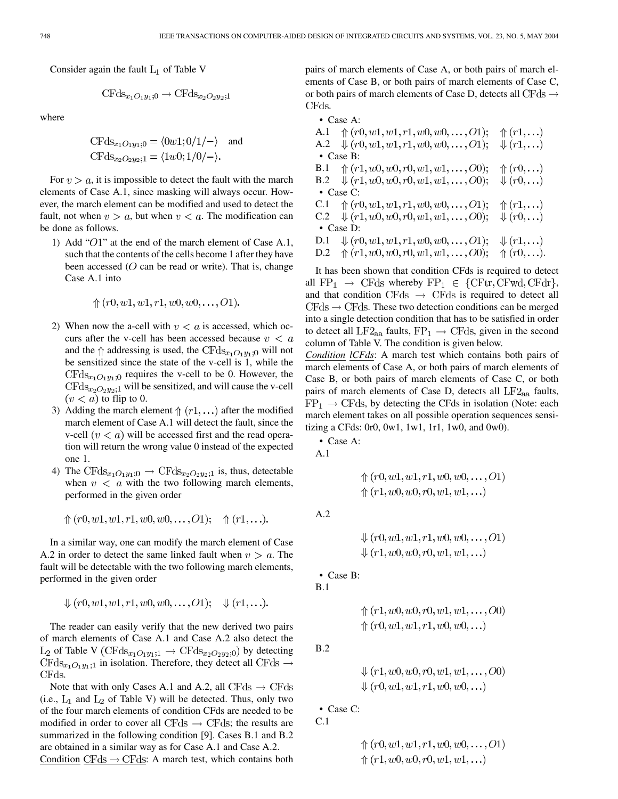Consider again the fault  $L_1$  of Table V

$$
\mathrm{CFds}_{x_1O_1y_1;0} \to \mathrm{CFds}_{x_2O_2y_2;1}
$$

where

$$
\text{CFds}_{x_1O_1y_1;0} = \langle 0w1; 0/1/- \rangle \quad \text{and} \quad
$$

$$
\text{CFds}_{x_2O_2y_2;1} = \langle 1w0; 1/0/- \rangle.
$$

For  $v > a$ , it is impossible to detect the fault with the march elements of Case A.1, since masking will always occur. However, the march element can be modified and used to detect the fault, not when  $v > a$ , but when  $v < a$ . The modification can be done as follows.

1) Add " $O1$ " at the end of the march element of Case A.1, such that the contents of the cells become 1 after they have been accessed  $(O \text{ can be read or write})$ . That is, change Case A.1 into

$$
\Uparrow (r0, w1, w1, r1, w0, w0, \ldots, O1).
$$

- 2) When now the a-cell with  $v < a$  is accessed, which occurs after the v-cell has been accessed because  $v < a$ and the  $\Uparrow$  addressing is used, the CFds<sub>x1</sub>O<sub>1</sub>y<sub>1</sub>:0</sub> will not be sensitized since the state of the v-cell is 1, while the  $C F d s_{x_1O_1y_1;0}$  requires the v-cell to be 0. However, the  $\text{CFds}_{x_2O_2y_2;1}$  will be sensitized, and will cause the v-cell  $(v < a)$  to flip to 0.
- 3) Adding the march element  $\Uparrow$   $(r1,...)$  after the modified march element of Case A.1 will detect the fault, since the v-cell  $(v < a)$  will be accessed first and the read operation will return the wrong value 0 instead of the expected one 1.
- 4) The  $\text{CFds}_{x_1O_1y_1,0} \to \text{CFds}_{x_2O_2y_2,1}$  is, thus, detectable when  $v < a$  with the two following march elements, performed in the given order

$$
\Uparrow (r0, w1, w1, r1, w0, w0, \ldots, O1); \quad \Uparrow (r1, \ldots).
$$

In a similar way, one can modify the march element of Case A.2 in order to detect the same linked fault when  $v > a$ . The fault will be detectable with the two following march elements, performed in the given order

$$
\Downarrow (r0,w1,w1,r1,w0,w0,\ldots,O1); \quad \Downarrow (r1,\ldots).
$$

The reader can easily verify that the new derived two pairs of march elements of Case A.1 and Case A.2 also detect the  $L_2$  of Table V (CFds<sub>x<sub>1</sub>O<sub>1</sub>y<sub>1</sub>;1</sub>  $\rightarrow$  CFds<sub>x<sub>2</sub>O<sub>2</sub>y<sub>2</sub>;0</sub>) by detecting  $\text{CFds}_{x_1O_1y_1;1}$  in isolation. Therefore, they detect all CFds  $\rightarrow$ CFds.

Note that with only Cases A.1 and A.2, all CFds  $\rightarrow$  CFds (i.e.,  $L_1$  and  $L_2$  of Table V) will be detected. Thus, only two of the four march elements of condition CFds are needed to be modified in order to cover all CFds  $\rightarrow$  CFds; the results are summarized in the following condition [\[9](#page-19-0)]. Cases B.1 and B.2 are obtained in a similar way as for Case A.1 and Case A.2. Condition  $CFds \rightarrow CFds$ : A march test, which contains both pairs of march elements of Case A, or both pairs of march elements of Case B, or both pairs of march elements of Case C, or both pairs of march elements of Case D, detects all CFds  $\rightarrow$ CFds.

• Case A:

A.1  $\Uparrow$  (r0, w1, w1, r1, w0, w0, ..., O1);  $\Uparrow$   $(r1,...)$ A.2  $\Downarrow$   $(r0, w1, w1, r1, w0, w0, \ldots, O1);$  $\downarrow$   $(r1,...)$ • Case B:  $\Uparrow$   $(r0,...)$ B.1  $\Uparrow$  (r1, w0, w0, r0, w1, w1, ..., O0);  $\downarrow$   $(r1, w0, w0, r0, w1, w1, \ldots, O0);$ B.2  $\downarrow$  (r0,...) • Case C: C.1  $\Uparrow(r0, w1, w1, r1, w0, w0, \ldots, O1);$  $\Uparrow$   $(r1,\ldots)$ C.2  $\Downarrow$   $(r1, w0, w0, r0, w1, w1, \ldots, O0);$  $\downarrow$   $(r0,...)$ • Case D: D.1  $\downarrow$  (r0, w1, w1, r1, w0, w0, ..., O1);  $\downarrow$   $(r1, \ldots)$ 

D.2  $\Uparrow (r1, w0, w0, r0, w1, w1, \ldots, O0); \Uparrow (r0, \ldots).$ 

It has been shown that condition CFds is required to detect all  $FP_1 \rightarrow CFds$  whereby  $FP_1 \in \{CFtr, CFwd, CFdr\},\$ and that condition CFds  $\rightarrow$  CFds is required to detect all  $CFds \rightarrow CFds$ . These two detection conditions can be merged into a single detection condition that has to be satisfied in order to detect all LF2<sub>aa</sub> faults,  $FP_1 \rightarrow CFds$ , given in the second column of Table V. The condition is given below.

*Condition lCFds*: A march test which contains both pairs of march elements of Case A, or both pairs of march elements of Case B, or both pairs of march elements of Case C, or both pairs of march elements of Case D, detects all  $LF2<sub>aa</sub>$  faults,  $FP_1 \rightarrow CFds$ , by detecting the CFds in isolation (Note: each march element takes on all possible operation sequences sensitizing a CFds: 0r0, 0w1, 1w1, 1r1, 1w0, and 0w0).

```
• Case A:
A.1
```

$$
\Uparrow (r0, w1, w1, r1, w0, w0, \dots, O1) \Uparrow (r1, w0, w0, r0, w1, w1, \dots)
$$

A.2

$$
\downarrow (r0, w1, w1, r1, w0, w0, \ldots, O1) \downarrow (r1, w0, w0, r0, w1, w1, \ldots)
$$

# • Case B:

```
B.1
```

$$
\Uparrow (r1, w0, w0, r0, w1, w1, ..., O0) \Uparrow (r0, w1, w1, r1, w0, w0, ...)
$$

B.2

$$
\Downarrow(r1, w0, w0, r0, w1, w1, \dots, O0) \Downarrow(r0, w1, w1, r1, w0, w0, \dots)
$$

• Case C: C.1

$$
\Uparrow (r0, w1, w1, r1, w0, w0, \dots, O1) \Uparrow (r1, w0, w0, r0, w1, w1, \dots)
$$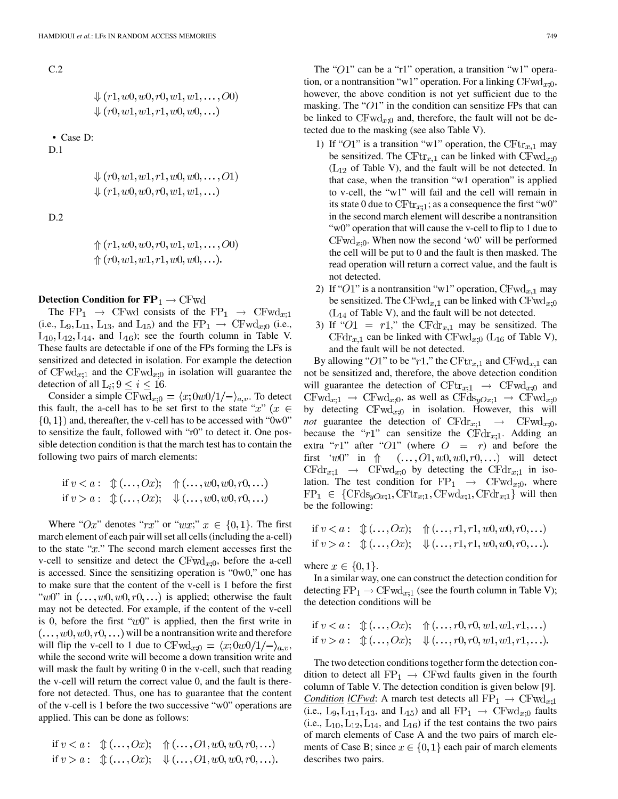C.2

$$
\Downarrow (r1, w0, w0, r0, w1, w1, \dots, O0) \Downarrow (r0, w1, w1, r1, w0, w0, \dots)
$$

• Case D: D.1

> $\downarrow$  (r0, w1, w1, r1, w0, w0, ..., O1)  $\downarrow$  (r1, w0, w0, r0, w1, w1,...)

D.2

$$
\Uparrow (r1, w0, w0, r0, w1, w1, \dots, O0) \Uparrow (r0, w1, w1, r1, w0, w0, \dots).
$$

# **Detection Condition for**  $\mathbf{FP}_1 \rightarrow \mathbf{CFwd}$

The FP<sub>1</sub>  $\rightarrow$  CFwd consists of the FP<sub>1</sub>  $\rightarrow$  CFwd<sub>x;1</sub> (i.e., L<sub>9</sub>, L<sub>11</sub>, L<sub>13</sub>, and L<sub>15</sub>) and the  $FP_1 \rightarrow CFwd_{x;0}$  (i.e.,  $L_{10}$ ,  $L_{12}$ ,  $L_{14}$ , and  $L_{16}$ ); see the fourth column in Table V. These faults are detectable if one of the FPs forming the LFs is sensitized and detected in isolation. For example the detection of  $CFwd_{x:1}$  and the  $CFwd_{x:0}$  in isolation will guarantee the detection of all  $L_i$ ;  $9 \le i \le 16$ .

Consider a simple  $CFwd_{x;0} = \langle x; 0w0/1/\rangle_{a,v}$ . To detect this fault, the a-cell has to be set first to the state " $x$ " ( $x \in$  $\{0,1\}$  and, thereafter, the v-cell has to be accessed with "0w0" to sensitize the fault, followed with "r0" to detect it. One possible detection condition is that the march test has to contain the following two pairs of march elements:

if 
$$
v < a
$$
:  $\hat{\psi}(\ldots, Ox)$ ;  $\hat{\Uparrow}(\ldots, w0, w0, r0, \ldots)$   
if  $v > a$ :  $\hat{\psi}(\ldots, Ox)$ ;  $\psi(\ldots, w0, w0, r0, \ldots)$ 

Where " $Ox$ " denotes " $rx$ " or " $wx$ ;"  $x \in \{0,1\}$ . The first march element of each pair will set all cells (including the a-cell) to the state " $x$ ." The second march element accesses first the v-cell to sensitize and detect the  $CFwd_{x:0}$ , before the a-cell is accessed. Since the sensitizing operation is "0w0," one has to make sure that the content of the v-cell is 1 before the first " $w0$ " in  $(\ldots, w0, w0, r0, \ldots)$  is applied; otherwise the fault may not be detected. For example, if the content of the v-cell is 0, before the first " $w0$ " is applied, then the first write in  $(\ldots, w_0, w_0, r_0, \ldots)$  will be a nontransition write and therefore will flip the v-cell to 1 due to  $CFwd_{x:0} = \langle x; 0w0/1/\rangle_{a,v}$ , while the second write will become a down transition write and will mask the fault by writing 0 in the v-cell, such that reading the v-cell will return the correct value 0, and the fault is therefore not detected. Thus, one has to guarantee that the content of the v-cell is 1 before the two successive "w0" operations are applied. This can be done as follows:

if 
$$
v < a
$$
:  $\hat{\psi}(\ldots, Ox)$ ;  $\hat{\Uparrow}(\ldots, O1, w0, w0, r0, \ldots)$   
if  $v > a$ :  $\hat{\psi}(\ldots, Ox)$ ;  $\psi(\ldots, O1, w0, w0, r0, \ldots)$ .

The " $O1$ " can be a "r1" operation, a transition "w1" operation, or a nontransition "w1" operation. For a linking  $CFwd_{x:0}$ , however, the above condition is not yet sufficient due to the masking. The " $O1$ " in the condition can sensitize FPs that can be linked to  $CFwd_{x:0}$  and, therefore, the fault will not be detected due to the masking (see also Table V).

- 1) If "O1" is a transition "w1" operation, the CFt $r_{x,1}$  may be sensitized. The CFtr<sub>x,1</sub> can be linked with CFwd<sub>x;0</sub>  $(L_{12}$  of Table V), and the fault will be not detected. In that case, when the transition "w1 operation" is applied to v-cell, the "w1" will fail and the cell will remain in its state 0 due to  $CFtr_{x:1}$ ; as a consequence the first "w0" in the second march element will describe a nontransition "w0" operation that will cause the v-cell to flip to 1 due to  $CFwd_{x:0}$ . When now the second 'w0' will be performed the cell will be put to 0 and the fault is then masked. The read operation will return a correct value, and the fault is not detected.
- 2) If " $O1$ " is a nontransition "w1" operation,  $CFwd_{x,1}$  may be sensitized. The CF wd<sub>x,1</sub> can be linked with CF wd<sub>x;0</sub>  $(L_{14}$  of Table V), and the fault will be not detected.
- 3) If " $O1 = r1$ ," the CFdr<sub>x,1</sub> may be sensitized. The  $CFAr_{x,1}$  can be linked with  $CFwd_{x,0}$  ( $L_{16}$  of Table V), and the fault will be not detected.

By allowing "O1" to be " $r1$ ," the CFtr<sub>x,1</sub> and CFwd<sub>x,1</sub> can not be sensitized and, therefore, the above detection condition will guarantee the detection of  $C_{\text{Ftr}_{x;1}} \rightarrow C_{\text{Fwd}_{x;0}}$  and  $CFwd_{x;1} \rightarrow CFwd_{x;0}$ , as well as  $CFds_{yOx;1} \rightarrow CFwd_{x;0}$ by detecting  $CFwd_{x;0}$  in isolation. However, this will *not* guarantee the detection of  $C F d r_{x;1} \rightarrow C F w d_{x;0}$ , because the " $r1$ " can sensitize the CFdr<sub>x;1</sub>. Adding an extra " $r1$ " after "O1" (where  $Q = r$ ) and before the first 'w0" in  $\Uparrow$   $(\ldots, O1, w0, w0, r0, \ldots)$  will detect  $C F dr_{x;1} \rightarrow C F w d_{x;0}$  by detecting the  $C F dr_{x;1}$  in isolation. The test condition for  $FP_1 \rightarrow CFwd_{x:0}$ , where  $FP_1 \in \{CFds_{yOx;1}, CFtr_{x;1}, CFwd_{x;1}, CFdr_{x;1}\}$  will then be the following:

if 
$$
v < a
$$
:  $\hat{\psi}(\ldots, Ox)$ ;  $\hat{\Uparrow}(\ldots, r1, r1, w0, w0, r0, \ldots)$   
if  $v > a$ :  $\hat{\psi}(\ldots, Ox)$ ;  $\psi(\ldots, r1, r1, w0, w0, r0, \ldots)$ .

where  $x \in \{0, 1\}$ .

In a similar way, one can construct the detection condition for detecting  $FP_1 \rightarrow CFwd_{x;1}$  (see the fourth column in Table V); the detection conditions will be

if 
$$
v < a
$$
:  $\hat{\psi}(\ldots, Ox)$ ;  $\hat{\Uparrow}(\ldots, r0, r0, w1, w1, r1, \ldots)$   
if  $v > a$ :  $\hat{\psi}(\ldots, Ox)$ ;  $\psi(\ldots, r0, r0, w1, w1, r1, \ldots)$ .

The two detection conditions together form the detection condition to detect all  $FP_1 \rightarrow CFwd$  faults given in the fourth column of Table V. The detection condition is given below [[9\]](#page-19-0). *Condition <i>lCFwd*: A march test detects all  $FP_1 \rightarrow CFwd_{x;1}$ (i.e., L<sub>9</sub>, L<sub>11</sub>, L<sub>13</sub>, and L<sub>15</sub>) and all  $FP_1 \rightarrow CFwd_{x:0}$  faults (i.e.,  $L_{10}$ ,  $L_{12}$ ,  $L_{14}$ , and  $L_{16}$ ) if the test contains the two pairs of march elements of Case A and the two pairs of march elements of Case B; since  $x \in \{0, 1\}$  each pair of march elements describes two pairs.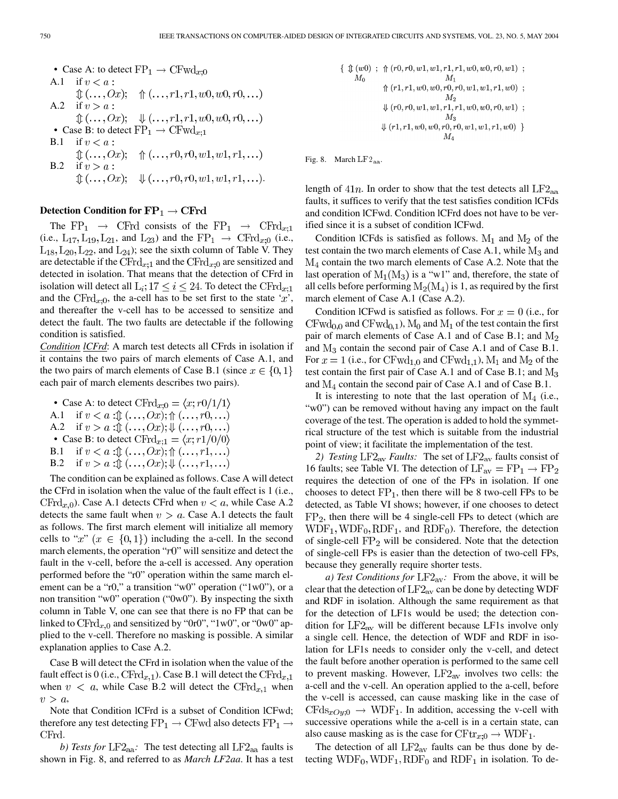• Case A: to detect  $\text{FP}_1 \rightarrow \text{CFwd}_{x;0}$ 

- A.1 if  $v < a$ :  $\mathcal{D}(\ldots, Ox);$  $\Uparrow$   $(\ldots, r1, r1, w0, w0, r0, \ldots)$ A.2 if  $v > a$ :
- $\Downarrow (\ldots, r1, r1, w0, w0, r0, \ldots)$  $\mathbb{D}(\ldots, Ox);$
- Case B: to detect  $FP_1 \rightarrow CFwd_{x;1}$
- B.1 if  $v < a$ :  $\mathcal{L}(\ldots, Ox); \quad \Uparrow (\ldots, r0, r0, w1, w1, r1, \ldots)$ **B.2** if  $v > a$ :  $\mathcal{L}(\ldots, Ox); \quad \mathcal{L}(\ldots, r0, r0, w1, w1, r1, \ldots).$

# **Detection Condition for**

The FP<sub>1</sub>  $\rightarrow$  CFrd consists of the FP<sub>1</sub>  $\rightarrow$  CFrd<sub>x:1</sub> (i.e.,  $L_{17}$ ,  $L_{19}$ ,  $L_{21}$ , and  $L_{23}$ ) and the FP<sub>1</sub>  $\rightarrow$  CFrd<sub>x;0</sub> (i.e.,  $L_{18}$ ,  $L_{20}$ ,  $L_{22}$ , and  $L_{24}$ ); see the sixth column of Table V. They are detectable if the  $CFrd_{x,1}$  and the  $CFrd_{x,0}$  are sensitized and detected in isolation. That means that the detection of CFrd in isolation will detect all  $L_i$ ;  $17 \le i \le 24$ . To detect the CFrd<sub>x;1</sub> and the CFrd<sub>x;0</sub>, the a-cell has to be set first to the state ' $x'$ , and thereafter the v-cell has to be accessed to sensitize and detect the fault. The two faults are detectable if the following condition is satisfied.

*Condition lCFrd*: A march test detects all CFrds in isolation if it contains the two pairs of march elements of Case A.1, and the two pairs of march elements of Case B.1 (since  $x \in \{0,1\}$ ) each pair of march elements describes two pairs).

• Case A: to detect  $CFrd_{x;0} = \langle x; r0/1/1 \rangle$ A.1 if  $v < a : \mathcal{D}(\ldots, Ox)$ ;  $\Uparrow (\ldots, r0, \ldots)$ A.2 if  $v > a : \hat{\mathbb{1}} (\ldots, Ox); \psi (\ldots, r0, \ldots)$ • Case B: to detect  $CFrd_{x:1} = \langle x; r1/0/0 \rangle$ B.1 if  $v < a : \mathcal{D}(\ldots, Ox)$ ;  $\Uparrow (\ldots, r1, \ldots)$ B.2 if  $v > a : \mathcal{D}(\ldots, Ox); \Downarrow (\ldots, r1, \ldots)$ 

The condition can be explained as follows. Case A will detect the CFrd in isolation when the value of the fault effect is 1 (i.e.,  $CFrd_{x,0}$ ). Case A.1 detects CFrd when  $v < a$ , while Case A.2 detects the same fault when  $v > a$ . Case A.1 detects the fault as follows. The first march element will initialize all memory cells to "x"  $(x \in \{0,1\})$  including the a-cell. In the second march elements, the operation " $r0$ " will sensitize and detect the fault in the v-cell, before the a-cell is accessed. Any operation performed before the "r0" operation within the same march element can be a "r0," a transition "w0" operation ("1w0"), or a non transition "w0" operation ("0w0"). By inspecting the sixth column in Table V, one can see that there is no FP that can be linked to  $CFrd_{x,0}$  and sensitized by "0r0", "1w0", or "0w0" applied to the v-cell. Therefore no masking is possible. A similar explanation applies to Case A.2.

Case B will detect the CFrd in isolation when the value of the fault effect is 0 (i.e.,  $CFrd_{x,1}$ ). Case B.1 will detect the  $CFrd_{x,1}$ when  $v \, \langle \, a, \, \text{while Case B.2 will detect the CFrd}_{x,1} \, \text{when}$  $v > a$ ,

Note that Condition lCFrd is a subset of Condition lCFwd; therefore any test detecting  $FP_1 \rightarrow CFwd$  also detects  $FP_1 \rightarrow$ CFrd.

*b) Tests for*  $LF2_{aa}$ : The test detecting all  $LF2_{aa}$  faults is shown in Fig. 8, and referred to as *March LF2aa*. It has a test

$$
\{\begin{array}{c}\n\{\begin{array}{c}\n\{\begin{array}{c}\n\{(w0)\end{array}\n;\ \text{ $\hat{r}$ (r0, r0, w1, w1, r1, r1, w0, w0, r0, w1)$ }\n\end{array}$ ;\n\quad &\quad$M_1$ \\
\text{ $\hat{r}$ (r1, r1, w0, w0, r0, r0, w1, w1, r1, w0)$ }\n\end{array}$ ;\n\quad &\quad$M_2$ \\
\Downarrow (r0, r0, w1, w1, r1, r1, w0, w0, r0, w1)$ \vdots\n\end{array}$ \\\n\Downarrow (r1, r1, w0, w0, r0, r0, w1, w1, r1, w0) \}\\
M_4\n\end{array}$ \end{array}
$$

Fig. 8. March  $LF2_{aa}$ .

length of  $41n$ . In order to show that the test detects all  $\text{LF2}_{\text{aa}}$ faults, it suffices to verify that the test satisfies condition lCFds and condition lCFwd. Condition lCFrd does not have to be verified since it is a subset of condition lCFwd.

Condition lCFds is satisfied as follows.  $M_1$  and  $M_2$  of the test contain the two march elements of Case A.1, while  $M_3$  and  $M_4$  contain the two march elements of Case A.2. Note that the last operation of  $M_1(M_3)$  is a "w1" and, therefore, the state of all cells before performing  $M_2(M_4)$  is 1, as required by the first march element of Case A.1 (Case A.2).

Condition lCFwd is satisfied as follows. For  $x = 0$  (i.e., for  $CFwd_{0,0}$  and  $CFwd_{0,1}$ ),  $M_0$  and  $M_1$  of the test contain the first pair of march elements of Case A.1 and of Case B.1; and  $M_2$ and  $M_3$  contain the second pair of Case A.1 and of Case B.1. For  $x = 1$  (i.e., for CFwd<sub>1,0</sub> and CFwd<sub>1,1</sub>), M<sub>1</sub> and M<sub>2</sub> of the test contain the first pair of Case A.1 and of Case B.1; and  $M_3$ and  $M_4$  contain the second pair of Case A.1 and of Case B.1.

It is interesting to note that the last operation of  $M_4$  (i.e., "w0") can be removed without having any impact on the fault coverage of the test. The operation is added to hold the symmetrical structure of the test which is suitable from the industrial point of view; it facilitate the implementation of the test.

2) Testing  $\text{LF2}_{av}$  Faults: The set of  $\text{LF2}_{av}$  faults consist of 16 faults; see Table VI. The detection of  $LF_{av} = FP_1 \rightarrow FP_2$ requires the detection of one of the FPs in isolation. If one chooses to detect  $FP_1$ , then there will be 8 two-cell FPs to be detected, as Table VI shows; however, if one chooses to detect  $FP<sub>2</sub>$ , then there will be 4 single-cell FPs to detect (which are  $WDF_1, WDF_0, RDF_1,$  and  $RDF_0$ ). Therefore, the detection of single-cell  $FP<sub>2</sub>$  will be considered. Note that the detection of single-cell FPs is easier than the detection of two-cell FPs, because they generally require shorter tests.

*a) Test Conditions for*  $LF2_{av}$ : From the above, it will be clear that the detection of  $LF2<sub>av</sub>$  can be done by detecting WDF and RDF in isolation. Although the same requirement as that for the detection of LF1s would be used; the detection condition for  $LF2<sub>av</sub>$  will be different because LF1s involve only a single cell. Hence, the detection of WDF and RDF in isolation for LF1s needs to consider only the v-cell, and detect the fault before another operation is performed to the same cell to prevent masking. However,  $LF2_{av}$  involves two cells: the a-cell and the v-cell. An operation applied to the a-cell, before the v-cell is accessed, can cause masking like in the case of  $\text{CFds}_{xOy,0} \rightarrow \text{WDF}_1$ . In addition, accessing the v-cell with successive operations while the a-cell is in a certain state, can also cause masking as is the case for  $C_{\text{Ftr}_{x;0}} \to \text{WDF}_1$ .

The detection of all  $\text{LF2}_{av}$  faults can be thus done by detecting  $WDF_0, WDF_1, RDF_0$  and  $RDF_1$  in isolation. To de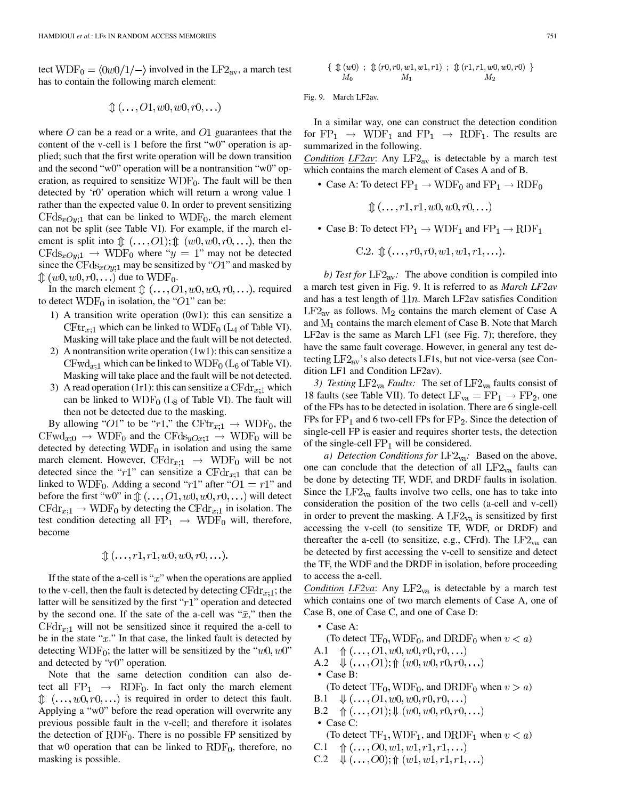tect  $WDF_0 = \langle 0w0/1/- \rangle$  involved in the LF2<sub>av</sub>, a march test has to contain the following march element:

$$
\mathbb{U}(\ldots, O1, w0, w0, r0, \ldots)
$$

where  $O$  can be a read or a write, and  $O1$  guarantees that the content of the v-cell is 1 before the first "w0" operation is applied; such that the first write operation will be down transition and the second "w0" operation will be a nontransition "w0" operation, as required to sensitize  $WDF_0$ . The fault will be then detected by 'r0' operation which will return a wrong value 1 rather than the expected value 0. In order to prevent sensitizing  $CFGs_{xOv,1}$  that can be linked to  $WDF_0$ , the march element can not be split (see Table VI). For example, if the march element is split into  $\text{D}(\ldots, O_1); \text{D}(\omega, w_0, w_0, \ldots)$ , then the  $CFds_{xOy,1} \rightarrow WDF_0$  where " $y = 1$ " may not be detected since the CFds<sub>*xOy*</sub>;1 may be sensitized by " $O1$ " and masked by  $\text{L}(w_0, w_0, r_0, \ldots)$  due to  $WDF_0$ .

In the march element  $\mathcal{L}(\ldots, O1, w0, w0, r0, \ldots)$ , required to detect  $WDF_0$  in isolation, the "O1" can be:

- 1) A transition write operation (0w1): this can sensitize a  $CFT_{x;1}$  which can be linked to  $WDF_0$  ( $L_4$  of Table VI). Masking will take place and the fault will be not detected.
- 2) A nontransition write operation  $(1w1)$ : this can sensitize a  $CFwd_{x:1}$  which can be linked to  $WDF_0$  ( $L_6$  of Table VI). Masking will take place and the fault will be not detected.
- 3) A read operation (1r1): this can sensitize a  $CFAr_{x:1}$  which can be linked to  $WDF_0$  ( $L_8$  of Table VI). The fault will then not be detected due to the masking.

By allowing "O1" to be " $r1$ ," the CFtr<sub>x;1</sub>  $\rightarrow$  WDF<sub>0</sub>, the  $CFwd_{x;0} \rightarrow WDF_0$  and the CFds<sub>yOx</sub>;<sub>1</sub>  $\rightarrow WDF_0$  will be detected by detecting  $WDF_0$  in isolation and using the same march element. However,  $C F dr_{x;1} \rightarrow WDF_0$  will be not detected since the " $r1$ " can sensitize a CF $dr_{x:1}$  that can be linked to WDF<sub>0</sub>. Adding a second " $r1$ " after " $O1 = r1$ " and before the first "w0" in  $\mathcal{D}$  (...,  $O1, w0, w0, r0, ...$ ) will detect  $CFAr_{x;1} \rightarrow WDF_0$  by detecting the  $CFAr_{x;1}$  in isolation. The test condition detecting all  $FP_1 \rightarrow WDF_0$  will, therefore, become

$$
\mathcal{L}(\ldots,r1,r1,w0,w0,r0,\ldots).
$$

If the state of the a-cell is " $x$ " when the operations are applied to the v-cell, then the fault is detected by detecting  $C F dr_{x,1}$ ; the latter will be sensitized by the first " $r1$ " operation and detected by the second one. If the sate of the a-cell was " $\bar{x}$ ," then the  $CFAr_{x;1}$  will not be sensitized since it required the a-cell to be in the state " $x$ ." In that case, the linked fault is detected by detecting WDF<sub>0</sub>; the latter will be sensitized by the " $w0, w0$ " and detected by " $r0$ " operation.

Note that the same detection condition can also detect all  $FP_1 \rightarrow RDF_0$ . In fact only the march element  $\text{if } (\ldots, w0, r0, \ldots)$  is required in order to detect this fault. Applying a "w0" before the read operation will overwrite any previous possible fault in the v-cell; and therefore it isolates the detection of  $RDF_0$ . There is no possible FP sensitized by that w0 operation that can be linked to  $RDF_0$ , therefore, no masking is possible.

$$
\{\begin{array}{c}\n\updownarrow(w0) ; \; \updownarrow(r0,r0,w1,w1,r1) ; \; \updownarrow(r1,r1,w0,w0,r0) \\
M_0 \qquad M_1 \qquad M_2\n\end{array}\}
$$

Fig. 9. March LF2av.

In a similar way, one can construct the detection condition for  $FP_1 \rightarrow WDF_1$  and  $FP_1 \rightarrow RDF_1$ . The results are summarized in the following.

*Condition LF2av*: Any LF2<sub>av</sub> is detectable by a march test which contains the march element of Cases A and of B.

• Case A: To detect  $FP_1 \rightarrow WDF_0$  and  $FP_1 \rightarrow RDF_0$ 

$$
\mathbb{U}(\ldots,r1,r1,w0,w0,r0,\ldots)
$$

• Case B: To detect  $FP_1 \rightarrow WDF_1$  and  $FP_1 \rightarrow RDF_1$ 

C.2.  $\mathcal{L}(\ldots, r0, r0, w1, w1, r1, \ldots).$ 

*b) Test for*  $LF2<sub>av</sub>$ : The above condition is compiled into a march test given in Fig. 9. It is referred to as *March LF2av* and has a test length of  $11n$ . March LF2av satisfies Condition  $LF2<sub>av</sub>$  as follows.  $M<sub>2</sub>$  contains the march element of Case A and  $M_1$  contains the march element of Case B. Note that March LF2av is the same as March LF1 (see Fig. 7); therefore, they have the same fault coverage. However, in general any test detecting  $\text{LF2}_{\text{av}}$ 's also detects LF1s, but not vice-versa (see Condition LF1 and Condition LF2av).

*3) Testing*  $LF2_{va}$  *Faults:* The set of  $LF2_{va}$  faults consist of 18 faults (see Table VII). To detect  $LF_{va} = FP_1 \rightarrow FP_2$ , one of the FPs has to be detected in isolation. There are 6 single-cell FPs for  $FP_1$  and 6 two-cell FPs for  $FP_2$ . Since the detection of single-cell FP is easier and requires shorter tests, the detection of the single-cell  $FP<sub>1</sub>$  will be considered.

*a) Detection Conditions for*  $LF2_{va}$ : Based on the above, one can conclude that the detection of all  $\text{LF2}_{\text{va}}$  faults can be done by detecting TF, WDF, and DRDF faults in isolation. Since the  $LF2_{va}$  faults involve two cells, one has to take into consideration the position of the two cells (a-cell and v-cell) in order to prevent the masking. A  $LF2_{va}$  is sensitized by first accessing the v-cell (to sensitize TF, WDF, or DRDF) and thereafter the a-cell (to sensitize, e.g., CFrd). The  $LF2_{va}$  can be detected by first accessing the v-cell to sensitize and detect the TF, the WDF and the DRDF in isolation, before proceeding to access the a-cell.

*Condition LF2va*: Any LF2<sub>va</sub> is detectable by a march test which contains one of two march elements of Case A, one of Case B, one of Case C, and one of Case D:

• Case A:

(To detect  $TF_0$ , WDF<sub>0</sub>, and DRDF<sub>0</sub> when  $v < a$ )

- A.1  $\Uparrow$  (..., O1, w0, w0, r0, r0, ...)
- A.2  $\Downarrow$   $(\ldots, O1); \Uparrow$   $(w0, w0, r0, r0, \ldots)$

• Case B:

(To detect  $TF_0$ , WDF<sub>0</sub>, and DRDF<sub>0</sub> when  $v > a$ )

- B.1  $\Downarrow$   $(\ldots, O1, w0, w0, r0, r0, \ldots)$ B.2  $\Uparrow$  (..., O1);  $\Downarrow$  (w0, w0, r0, r0, ...)
- Case C:

(To detect  $TF_1$ , WDF<sub>1</sub>, and DRDF<sub>1</sub> when  $v < a$ )

- C.1  $\Uparrow$   $(\ldots, O0, w1, w1, r1, r1, \ldots)$
- C.2  $\Downarrow$  (..., O0);  $\Uparrow$  (w1, w1, r1, r1, ...)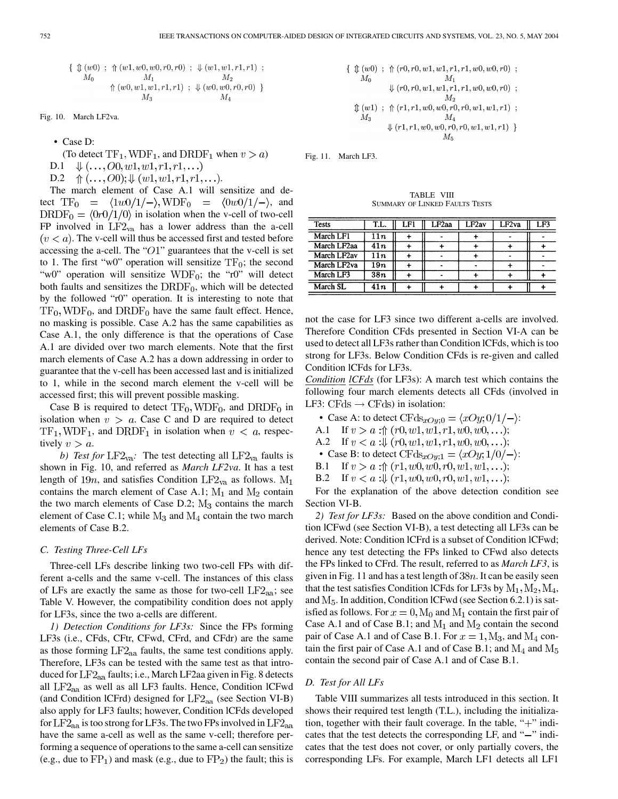$$
\{\begin{array}{c}\n\{\begin{array}{c}\n\oplus(w0) \\
\vdots\n\end{array} & \begin{array}{c}\n\oplus(w1,w0,w0,r0,r0) \\
\vdots\n\end{array} & \begin{array}{c}\n\oplus(w1,w1,r1,r1) \\
M_2\n\end{array} & \begin{array}{c}\n\oplus(w0,w1,w1,r1,r1) \\
\vdots\n\end{array} & \begin{array}{c}\n\oplus(w0,w0,r0,r0) \\
M_3\n\end{array}\n\end{array}\n\}
$$

Fig. 10. March LF2va.

• Case D:

(To detect  $TF_1$ , WDF<sub>1</sub>, and DRDF<sub>1</sub> when  $v > a$ )

 $\Downarrow$   $(..., O0, w1, w1, r1, r1,...)$ D.1

D.2  $\Uparrow$  (..., O0);  $\Downarrow$  (w1, w1, r1, r1, ...).

The march element of Case A.1 will sensitize and detect  $TF_0 = \langle 1w0/1/- \rangle$ ,  $WDF_0 = \langle 0w0/1/- \rangle$ , and  $DRDF_0 = \langle 0r0/1/0 \rangle$  in isolation when the v-cell of two-cell FP involved in  $LF2_{va}$  has a lower address than the a-cell  $(v < a)$ . The v-cell will thus be accessed first and tested before accessing the a-cell. The " $O1$ " guarantees that the v-cell is set to 1. The first "w0" operation will sensitize  $TF_0$ ; the second "w0" operation will sensitize  $WDF_0$ ; the "r0" will detect both faults and sensitizes the  $DRDF_0$ , which will be detected by the followed "r0" operation. It is interesting to note that  $TF_0$ , WDF<sub>0</sub>, and DRDF<sub>0</sub> have the same fault effect. Hence, no masking is possible. Case A.2 has the same capabilities as Case A.1, the only difference is that the operations of Case A.1 are divided over two march elements. Note that the first march elements of Case A.2 has a down addressing in order to guarantee that the v-cell has been accessed last and is initialized to 1, while in the second march element the v-cell will be accessed first; this will prevent possible masking.

Case B is required to detect  $TF_0$ , WDF<sub>0</sub>, and DRDF<sub>0</sub> in isolation when  $v > a$ . Case C and D are required to detect  $TF_1$ , WDF<sub>1</sub>, and DRDF<sub>1</sub> in isolation when  $v < a$ , respectively  $v > a$ .

*b) Test for*  $LF2_{va}$ : The test detecting all  $LF2_{va}$  faults is shown in Fig. 10, and referred as *March LF2va*. It has a test length of 19*n*, and satisfies Condition LF2<sub>va</sub> as follows. M<sub>1</sub> contains the march element of Case A.1;  $M_1$  and  $M_2$  contain the two march elements of Case D.2;  $M_3$  contains the march element of Case C.1; while  $M_3$  and  $M_4$  contain the two march elements of Case B.2.

## *C. Testing Three-Cell LFs*

Three-cell LFs describe linking two two-cell FPs with different a-cells and the same v-cell. The instances of this class of LFs are exactly the same as those for two-cell  $\text{LF2}_{\text{aa}}$ ; see Table V. However, the compatibility condition does not apply for LF3s, since the two a-cells are different.

*1) Detection Conditions for LF3s:* Since the FPs forming LF3s (i.e., CFds, CFtr, CFwd, CFrd, and CFdr) are the same as those forming  $\text{LF2}_{\text{aa}}$  faults, the same test conditions apply. Therefore, LF3s can be tested with the same test as that introduced for  $LF2_{aa}$  faults; i.e., March LF2aa given in Fig. 8 detects all  $LF2_{aa}$  as well as all LF3 faults. Hence, Condition lCFwd (and Condition lCFrd) designed for  $LF2_{aa}$  (see Section VI-B) also apply for LF3 faults; however, Condition lCFds developed for  $LF2_{aa}$  is too strong for LF3s. The two FPs involved in  $LF2_{aa}$ have the same a-cell as well as the same v-cell; therefore performing a sequence of operations to the same a-cell can sensitize (e.g., due to  $\text{FP}_1$ ) and mask (e.g., due to  $\text{FP}_2$ ) the fault; this is

$$
\{\begin{array}{cc} \{\begin{array}{c} \Uparrow \end{array}(\psi 0) \ ; \ \Uparrow \ (r0,r0,w1,w1,r1,r1,w0,w0,r0) \ ; \\[2mm] \Vparrow \end{array}\\\ \Downarrow \ (r0,r0,w1,w1,r1,r1,w0,w0,r0) \ ; \\[2mm] \Uparrow \end{array}\\\ \Uparrow \begin{array}{cc} \Uparrow \end{array}(\psi 1) \ ; \ \Uparrow \ (r1,r1,w0,w0,r0,r0,w1,w1,r1) \ ; \\[2mm] \Vparrow \end{array}\\\ \Downarrow \begin{array}{cc} \Vparrow \end{array}(\psi 1,r1,w0,w0,r0,r0,w1,w1,r1) \ \Downarrow \begin{array}{c} M_5 \end{array}
$$

Fig. 11. March LF3.

TABLE VIII SUMMARY OF LINKED FAULTS TESTS

| <b>Tests</b>            | T.L.     | LF1 | LF <sub>2</sub> aa | LF <sub>2</sub> av | LF <sub>2va</sub> | LF3 |
|-------------------------|----------|-----|--------------------|--------------------|-------------------|-----|
| March LF1               | $_{11n}$ |     |                    |                    |                   |     |
| March LF <sub>2aa</sub> | 41n      |     |                    |                    |                   |     |
| March LF <sub>2av</sub> | 11n      |     |                    |                    |                   |     |
| March LF2va             | 19n      |     |                    |                    |                   |     |
| March LF3               | 38n      |     |                    |                    |                   |     |
| March SL                | 41 n     |     |                    |                    |                   |     |

not the case for LF3 since two different a-cells are involved. Therefore Condition CFds presented in Section VI-A can be used to detect all LF3s rather than Condition lCFds, which is too strong for LF3s. Below Condition CFds is re-given and called Condition lCFds for LF3s.

*Condition lCFds* (for LF3s): A march test which contains the following four march elements detects all CFds (involved in LF3:  $CFds \rightarrow CFds$ ) in isolation:

• Case A: to detect  $CFds_{xOy;0} = \langle xOy; 0/1/- \rangle$ :

A.1 If  $v > a : \Uparrow (r0, w1, w1, r1, w0, w0, ...)$ ;

A.2 If  $v < a : \Downarrow (r0, w1, w1, r1, w0, w0, \ldots);$ 

• Case B: to detect  $CFds_{xOy;1} = \langle xOy; 1/0/-\rangle$ :

**B.1** If  $v > a : \hat{v}$  ( $r1, w0, w0, r0, w1, w1, ...$ );

B.2 If  $v < a : \Vdash (r1, w0, w0, r0, w1, w1, ...)$ ;

For the explanation of the above detection condition see Section VI-B.

*2) Test for LF3s:* Based on the above condition and Condition lCFwd (see Section VI-B), a test detecting all LF3s can be derived. Note: Condition lCFrd is a subset of Condition lCFwd; hence any test detecting the FPs linked to CFwd also detects the FPs linked to CFrd. The result, referred to as *March LF3*, is given in Fig. 11 and has a test length of  $38n$ . It can be easily seen that the test satisfies Condition lCFds for LF3s by  $M_1, M_2, M_4$ , and  $M_5$ . In addition, Condition lCFwd (see Section 6.2.1) is satisfied as follows. For  $x = 0$ ,  $M_0$  and  $M_1$  contain the first pair of Case A.1 and of Case B.1; and  $M_1$  and  $M_2$  contain the second pair of Case A.1 and of Case B.1. For  $x = 1$ , M<sub>3</sub>, and M<sub>4</sub> contain the first pair of Case A.1 and of Case B.1; and  $M_4$  and  $M_5$ contain the second pair of Case A.1 and of Case B.1.

# *D. Test for All LFs*

Table VIII summarizes all tests introduced in this section. It shows their required test length (T.L.), including the initialization, together with their fault coverage. In the table, " $+$ " indicates that the test detects the corresponding LF, and "-" indicates that the test does not cover, or only partially covers, the corresponding LFs. For example, March LF1 detects all LF1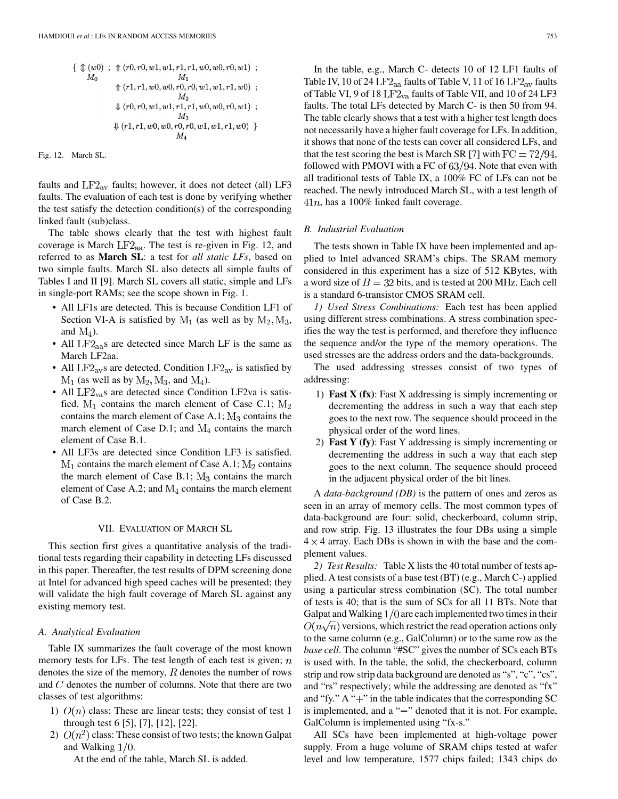$$
\{\begin{array}{c}\n\updownarrow (w0) \;\; ; \;\; \Uparrow (r0,r0,w1,w1,r1,r1,w0,w0,r0,w1) \;\; ; \\
M_0 \qquad \qquad M_1 \\\n\updownarrow (r1,r1,w0,w0,r0,r0,w1,w1,r1,w0) \;\; ; \\
\downarrow (r0,r0,w1,w1,r1,r1,w0,w0,r0,w1) \;\; ; \\
M_3 \qquad \qquad \Downarrow (r1,r1,w0,w0,r0,r0,w1,w1,r1,w0) \;\; \\\n\qquad \qquad M_4\n\end{array}
$$

Fig. 12. March SL.

faults and  $LF2_{av}$  faults; however, it does not detect (all) LF3 faults. The evaluation of each test is done by verifying whether the test satisfy the detection condition(s) of the corresponding linked fault (sub)class.

The table shows clearly that the test with highest fault coverage is March  $LF2_{aa}$ . The test is re-given in Fig. 12, and referred to as **March SL**: a test for *all static LFs*, based on two simple faults. March SL also detects all simple faults of Tables I and II [[9\]](#page-19-0). March SL covers all static, simple and LFs in single-port RAMs; see the scope shown in Fig. 1.

- All LF1s are detected. This is because Condition LF1 of Section VI-A is satisfied by  $M_1$  (as well as by  $M_2, M_3$ , and  $M_4$ ).
- All  $LF2_{aa}s$  are detected since March LF is the same as March LF2aa.
- All LF2<sub>av</sub>s are detected. Condition LF2<sub>av</sub> is satisfied by  $M_1$  (as well as by  $M_2, M_3$ , and  $M_4$ ).
- All  $LF2_{va}s$  are detected since Condition LF2va is satisfied.  $M_1$  contains the march element of Case C.1;  $M_2$ contains the march element of Case  $A.1$ ;  $M_3$  contains the march element of Case D.1; and  $M_4$  contains the march element of Case B.1.
- All LF3s are detected since Condition LF3 is satisfied.  $M_1$  contains the march element of Case A.1;  $M_2$  contains the march element of Case B.1;  $M_3$  contains the march element of Case A.2; and  $M_4$  contains the march element of Case B.2.

## VII. EVALUATION OF MARCH SL

This section first gives a quantitative analysis of the traditional tests regarding their capability in detecting LFs discussed in this paper. Thereafter, the test results of DPM screening done at Intel for advanced high speed caches will be presented; they will validate the high fault coverage of March SL against any existing memory test.

## *A. Analytical Evaluation*

Table IX summarizes the fault coverage of the most known memory tests for LFs. The test length of each test is given;  $n$ denotes the size of the memory,  $R$  denotes the number of rows and  $C$  denotes the number of columns. Note that there are two classes of test algorithms:

- 1)  $O(n)$  class: These are linear tests; they consist of test 1 through test 6 [\[5](#page-19-0)], [\[7](#page-19-0)], [\[12](#page-19-0)], [[22\]](#page-19-0).
- 2)  $O(n^2)$  class: These consist of two tests; the known Galpat and Walking  $1/0$ .
	- At the end of the table, March SL is added.

In the table, e.g., March C- detects 10 of 12 LF1 faults of Table IV, 10 of 24  $\text{LF2}_{\text{aa}}$  faults of Table V, 11 of 16  $\text{LF2}_{\text{av}}$  faults of Table VI, 9 of 18  $LF2_{va}$  faults of Table VII, and 10 of 24 LF3 faults. The total LFs detected by March C- is then 50 from 94. The table clearly shows that a test with a higher test length does not necessarily have a higher fault coverage for LFs. In addition, it shows that none of the tests can cover all considered LFs, and that the test scoring the best is March SR [[7\]](#page-19-0) with  $FC = 72/94$ , followed with PMOVI with a FC of  $63/94$ . Note that even with all traditional tests of Table IX, a 100% FC of LFs can not be reached. The newly introduced March SL, with a test length of  $41n$ , has a 100% linked fault coverage.

# *B. Industrial Evaluation*

The tests shown in Table IX have been implemented and applied to Intel advanced SRAM's chips. The SRAM memory considered in this experiment has a size of 512 KBytes, with a word size of  $B = 32$  bits, and is tested at 200 MHz. Each cell is a standard 6-transistor CMOS SRAM cell.

*1) Used Stress Combinations:* Each test has been applied using different stress combinations. A stress combination specifies the way the test is performed, and therefore they influence the sequence and/or the type of the memory operations. The used stresses are the address orders and the data-backgrounds.

The used addressing stresses consist of two types of addressing:

- 1) **Fast X (fx)**: Fast X addressing is simply incrementing or decrementing the address in such a way that each step goes to the next row. The sequence should proceed in the physical order of the word lines.
- 2) **Fast Y (fy)**: Fast Y addressing is simply incrementing or decrementing the address in such a way that each step goes to the next column. The sequence should proceed in the adjacent physical order of the bit lines.

A *data-background (DB)* is the pattern of ones and zeros as seen in an array of memory cells. The most common types of data-background are four: solid, checkerboard, column strip, and row strip. Fig. 13 illustrates the four DBs using a simple  $4 \times 4$  array. Each DBs is shown in with the base and the complement values.

*2) Test Results:* Table X lists the 40 total number of tests applied. A test consists of a base test (BT) (e.g., March C-) applied using a particular stress combination (SC). The total number of tests is 40; that is the sum of SCs for all 11 BTs. Note that Galpat and Walking  $1/0$  are each implemented two times in their  $O(n\sqrt{n})$  versions, which restrict the read operation actions only to the same column (e.g., GalColumn) or to the same row as the *base cell*. The column "#SC" gives the number of SCs each BTs is used with. In the table, the solid, the checkerboard, column strip and row strip data background are denoted as "s", "c", "cs", and "rs" respectively; while the addressing are denoted as "fx" and "fy." A " $+$ " in the table indicates that the corresponding SC is implemented, and a "-" denoted that it is not. For example, GalColumn is implemented using "fx-s."

All SCs have been implemented at high-voltage power supply. From a huge volume of SRAM chips tested at wafer level and low temperature, 1577 chips failed; 1343 chips do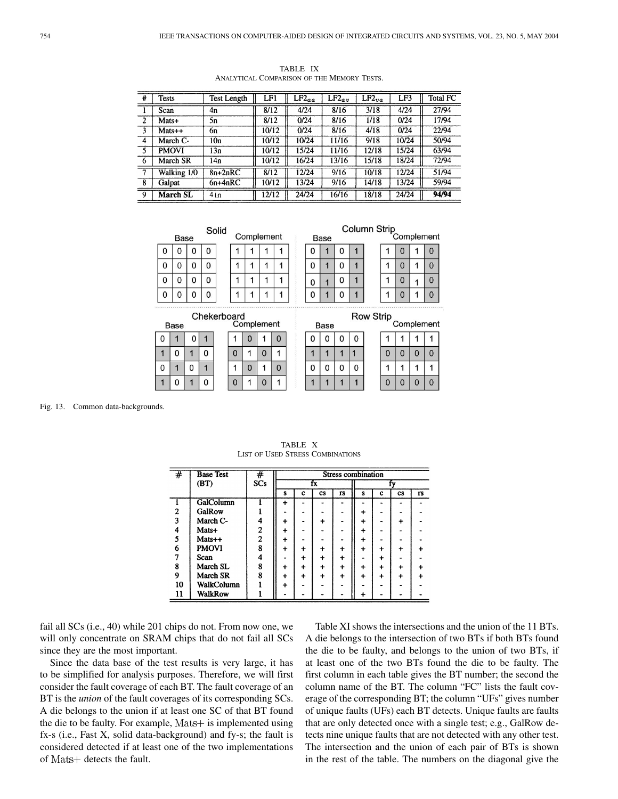| #                       | <b>Tests</b> | <b>Test Length</b> | LF1   | $LF2_{aa}$ | $LF2_{av}$ | LF2 <sub>va</sub> | LF3   | <b>Total FC</b> |
|-------------------------|--------------|--------------------|-------|------------|------------|-------------------|-------|-----------------|
|                         | Scan         | 4n                 | 8/12  | 4/24       | 8/16       | 3/18              | 4/24  | 27/94           |
| $\overline{2}$          | Mats+        | 5n                 | 8/12  | 0/24       | 8/16       | 1/18              | 0/24  | 17/94           |
| 3                       | $Mats++$     | 6n                 | 10/12 | 0/24       | 8/16       | 4/18              | 0/24  | 22/94           |
| $\overline{4}$          | March C-     | 10n                | 10/12 | 10/24      | 11/16      | 9/18              | 10/24 | 50/94           |
| 5                       | <b>PMOVI</b> | 13n                | 10/12 | 15/24      | 11/16      | 12/18             | 15/24 | 63/94           |
| 6                       | March SR     | 14n                | 10/12 | 16/24      | 13/16      | 15/18             | 18/24 | 72/94           |
| $\overline{\mathbf{z}}$ | Walking 1/0  | $8n+2nRC$          | 8/12  | 12/24      | 9/16       | 10/18             | 12/24 | 51/94           |
| 8                       | Galpat       | $6n+4nRC$          | 10/12 | 13/24      | 9/16       | 14/18             | 13/24 | 59/94           |
| -9                      | March SL     | 4 in               | 12/12 | 24/24      | 16/16      | 18/18             | 24/24 | 94/94           |

TABLE IX ANALYTICAL COMPARISON OF THE MEMORY TESTS.

|   |             |   |   | Solid       |              | Complement |          |   |   |             |   |   | Column Strip     |          |          |          | Complement                 |
|---|-------------|---|---|-------------|--------------|------------|----------|---|---|-------------|---|---|------------------|----------|----------|----------|----------------------------|
|   | Base        |   |   |             |              |            |          |   |   | <b>Base</b> |   |   |                  |          |          |          |                            |
| 0 | 0           | 0 | 0 |             |              |            |          |   | o |             | 0 |   |                  |          | 0        |          | 0                          |
| 0 | 0           | 0 | 0 |             | 1            | 1          | 1        | 1 | 0 | 1           | 0 | 1 |                  | 1        | $\Omega$ | 1        | $\mathbf{0}$               |
| 0 | 0           | 0 | 0 |             | 1            | 1          | 1        | 1 | 0 | 1           | 0 | 1 |                  | 1        | $\Omega$ | 1        | $\mathbf 0$                |
| 0 | 0           | 0 | 0 |             | 1            | 1          | 1        |   | 0 |             | 0 | 1 |                  | 1        | $\Omega$ | 1        | 0                          |
|   |             |   |   |             |              |            |          |   |   |             |   |   |                  |          |          |          |                            |
|   | <b>Base</b> |   |   | Chekerboard |              | Complement |          |   |   | Base        |   |   | <b>Row Strip</b> |          |          |          |                            |
| 0 | 1           | 0 |   |             |              | 0          |          | 0 | 0 | 0           | 0 | 0 |                  |          |          |          |                            |
| 1 | 0           | 1 | 0 |             | $\mathbf{0}$ | 1          | 0        | 1 | 1 |             | 1 | 1 |                  | 0        | $\Omega$ | $\Omega$ | $\Omega$                   |
| 0 | 1           | 0 | 1 |             | 1            | 0          | 1        | 0 | 0 | 0           | 0 | 0 |                  | 1        |          | 1        |                            |
| 1 | 0           | 1 | 0 |             | $\mathbf{0}$ | 1          | $\Omega$ | 1 | 1 |             | 1 | 1 |                  | $\Omega$ | $\Omega$ | $\Omega$ | Complement<br>$\mathbf{0}$ |

Fig. 13. Common data-backgrounds.

| #              | <b>Base Test</b> | $_{\#}$<br><b>Stress combination</b> |    |   |           |    |   |   |           |    |
|----------------|------------------|--------------------------------------|----|---|-----------|----|---|---|-----------|----|
|                | (BT)             | <b>SCs</b>                           | fx |   |           |    |   |   |           |    |
|                |                  |                                      | s  | c | <b>CS</b> | rs | s | c | <b>CS</b> | rs |
|                | GalColumn        |                                      | ∔  |   |           |    |   |   |           |    |
| $\overline{c}$ | GalRow           |                                      |    |   |           |    |   |   |           |    |
| 3              | March C-         |                                      |    |   |           |    |   |   |           |    |
| 4              | Mats+            | $\overline{2}$                       |    |   |           |    |   |   |           |    |
| 5              | $Mats++$         | $\overline{2}$                       | ٠  |   |           |    |   |   |           |    |
| 6              | <b>PMOVI</b>     | 8                                    |    |   |           |    |   |   | ÷         |    |
|                | <b>Scan</b>      |                                      |    |   |           |    |   |   |           |    |
| 8              | March SL         | 8                                    |    |   |           |    | ۰ |   | ۰         |    |
| 9              | March SR         | 8                                    |    |   |           |    |   |   |           |    |
| 10             | WalkColumn       |                                      |    |   |           |    |   |   |           |    |
| 11             | <b>WalkRow</b>   |                                      |    |   |           |    |   |   |           |    |

TABLE X LIST OF USED STRESS COMBINATIONS

fail all SCs (i.e., 40) while 201 chips do not. From now one, we will only concentrate on SRAM chips that do not fail all SCs since they are the most important.

Since the data base of the test results is very large, it has to be simplified for analysis purposes. Therefore, we will first consider the fault coverage of each BT. The fault coverage of an BT is the *union* of the fault coverages of its corresponding SCs. A die belongs to the union if at least one SC of that BT found the die to be faulty. For example,  $Mats$  is implemented using fx-s (i.e., Fast X, solid data-background) and fy-s; the fault is considered detected if at least one of the two implementations of Mats+ detects the fault.

Table XI shows the intersections and the union of the 11 BTs. A die belongs to the intersection of two BTs if both BTs found the die to be faulty, and belongs to the union of two BTs, if at least one of the two BTs found the die to be faulty. The first column in each table gives the BT number; the second the column name of the BT. The column "FC" lists the fault coverage of the corresponding BT; the column "UFs" gives number of unique faults (UFs) each BT detects. Unique faults are faults that are only detected once with a single test; e.g., GalRow detects nine unique faults that are not detected with any other test. The intersection and the union of each pair of BTs is shown in the rest of the table. The numbers on the diagonal give the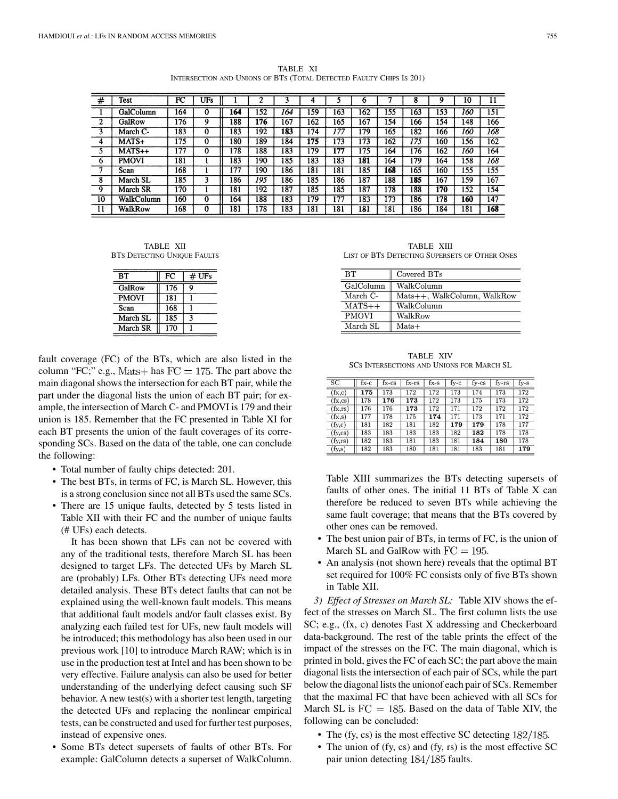| $^{\#}$ | <b>Test</b>   | FC  | UFs |     |     |     |     |     |     |     |     |     | 10  | 11               |
|---------|---------------|-----|-----|-----|-----|-----|-----|-----|-----|-----|-----|-----|-----|------------------|
|         | GalColumn     | 164 | 0   | 164 | 152 | -64 | 159 | 163 | 162 | 155 | 163 | 153 | 160 | 151              |
| 2       | <b>GalRow</b> | 176 | 9   | 188 | 176 | 167 | 162 | 165 | 167 | 154 | 166 | 154 | 148 | 166              |
| 3       | March C-      | 183 | 0   | 183 | 192 | 183 | 174 | 177 | 79  | 165 | 182 | 166 | 160 | 168              |
| 4       | MATS+         | 175 | 0   | 180 | 189 | 184 | 175 | 173 | 173 | 162 | 175 | 160 | 156 | 162              |
|         | $MATS++$      | 177 | 0   | 178 | 188 | 183 | 179 | 177 | 75  | 164 | 76  | 162 | 160 | 164              |
| 6       | <b>PMOVI</b>  | 181 |     | 183 | 190 | 185 | 183 | 183 | 181 | 164 | 79  | 164 | 158 | 168              |
|         | Scan          | 168 |     | 177 | 190 | 186 | 181 | 181 | 185 | 168 | 165 | 160 | 155 | 155              |
| 8       | March SL      | 185 | 3   | 186 | 195 | 186 | 185 | 186 | 187 | 188 | 185 | 167 | 159 | 167              |
| 9       | March SR      | 170 |     | 181 | 192 | 187 | 185 | 185 | 187 | 178 | 188 | 170 | 152 | 154              |
| 10      | WalkColumn    | 160 | 0   | 164 | 188 | 183 | 179 | 177 | 183 | 173 | 186 | 178 | 160 | $\overline{147}$ |
|         | WalkRow       | 168 | O   | 181 | 178 | 183 | 181 | 181 | 181 | 181 | 186 | 184 | 181 | 168              |

TABLE XI INTERSECTION AND UNIONS OF BTS (TOTAL DETECTED FAULTY CHIPS IS 201)

TABLE XII BTS DETECTING UNIQUE FAULTS

| BT           | FC  | $\#$ UFs |
|--------------|-----|----------|
| GalRow       | 176 | Q        |
| <b>PMOVI</b> | 181 |          |
| Scan         | 168 |          |
| March SL     | 185 | ٩        |
| March SR     | 170 |          |

fault coverage (FC) of the BTs, which are also listed in the column "FC;" e.g., Mats+ has  $FC = 175$ . The part above the main diagonal shows the intersection for each BT pair, while the part under the diagonal lists the union of each BT pair; for example, the intersection of March C- and PMOVI is 179 and their union is 185. Remember that the FC presented in Table XI for each BT presents the union of the fault coverages of its corresponding SCs. Based on the data of the table, one can conclude the following:

- Total number of faulty chips detected: 201.
- The best BTs, in terms of FC, is March SL. However, this is a strong conclusion since not all BTs used the same SCs.
- There are 15 unique faults, detected by 5 tests listed in Table XII with their FC and the number of unique faults (# UFs) each detects.

It has been shown that LFs can not be covered with any of the traditional tests, therefore March SL has been designed to target LFs. The detected UFs by March SL are (probably) LFs. Other BTs detecting UFs need more detailed analysis. These BTs detect faults that can not be explained using the well-known fault models. This means that additional fault models and/or fault classes exist. By analyzing each failed test for UFs, new fault models will be introduced; this methodology has also been used in our previous work [\[10](#page-19-0)] to introduce March RAW; which is in use in the production test at Intel and has been shown to be very effective. Failure analysis can also be used for better understanding of the underlying defect causing such SF behavior. A new test(s) with a shorter test length, targeting the detected UFs and replacing the nonlinear empirical tests, can be constructed and used for further test purposes, instead of expensive ones.

Some BTs detect supersets of faults of other BTs. For example: GalColumn detects a superset of WalkColumn.

TABLE XIII LIST OF BTS DETECTING SUPERSETS OF OTHER ONES

| RТ                   | Covered BTs                 |
|----------------------|-----------------------------|
| GalColumn            | WalkColumn                  |
| March $\overline{C}$ | Mats++, WalkColumn, WalkRow |
| $MATS++$             | WalkColumn                  |
| <b>PMOVI</b>         | WalkRow                     |
| March SL             | $Mats+$                     |

TABLE XIV SCS INTERSECTIONS AND UNIONS FOR MARCH SL

| SC                         | fx-c | $tx$ -cs | $fx-rs$ | $fx-s$ | fy-c | $fy-cs$ | fy-rs | $f_{y-S}$ |
|----------------------------|------|----------|---------|--------|------|---------|-------|-----------|
| $(f_{\rm X,C})$            | 175  | 173      | 172     | 172    | 173  | 174     | 173   | 172       |
| (fx, cs)                   | 178  | 176      | 173     | 172    | 173  | 175     | 173   | 172       |
| (fx, rs)                   | 176  | 176      | 173     | 172    | 171  | 172     | 172   | 172       |
| (fx,s)                     | 177  | 178      | 175     | 174    | 171  | 173     | 171   | 172       |
| (fy,c)                     | 181  | 182      | 181     | 182    | 179  | 179     | 178   | 177       |
| $({\rm fy, cs})$           | 183  | 183      | 183     | 183    | 182  | 182     | 178   | 178       |
| (fy,rs)                    | 182  | 183      | 181     | 183    | 181  | 184     | 180   | 178       |
| $(\mathrm{fy},\mathrm{S})$ | 182  | 183      | 180     | 181    | 181  | 183     | 181   | 179       |

Table XIII summarizes the BTs detecting supersets of faults of other ones. The initial 11 BTs of Table X can therefore be reduced to seven BTs while achieving the same fault coverage; that means that the BTs covered by other ones can be removed.

- The best union pair of BTs, in terms of FC, is the union of March SL and GalRow with  $FC = 195$ .
- An analysis (not shown here) reveals that the optimal BT set required for 100% FC consists only of five BTs shown in Table XII.

*3) Effect of Stresses on March SL:* Table XIV shows the effect of the stresses on March SL. The first column lists the use SC; e.g., (fx, c) denotes Fast X addressing and Checkerboard data-background. The rest of the table prints the effect of the impact of the stresses on the FC. The main diagonal, which is printed in bold, gives the FC of each SC; the part above the main diagonal lists the intersection of each pair of SCs, while the part below the diagonal lists the unionof each pair of SCs. Remember that the maximal FC that have been achieved with all SCs for March SL is  $FC = 185$ . Based on the data of Table XIV, the following can be concluded:

- The (fy, cs) is the most effective SC detecting  $182/185$ .
- The union of (fy, cs) and (fy, rs) is the most effective SC pair union detecting  $184/185$  faults.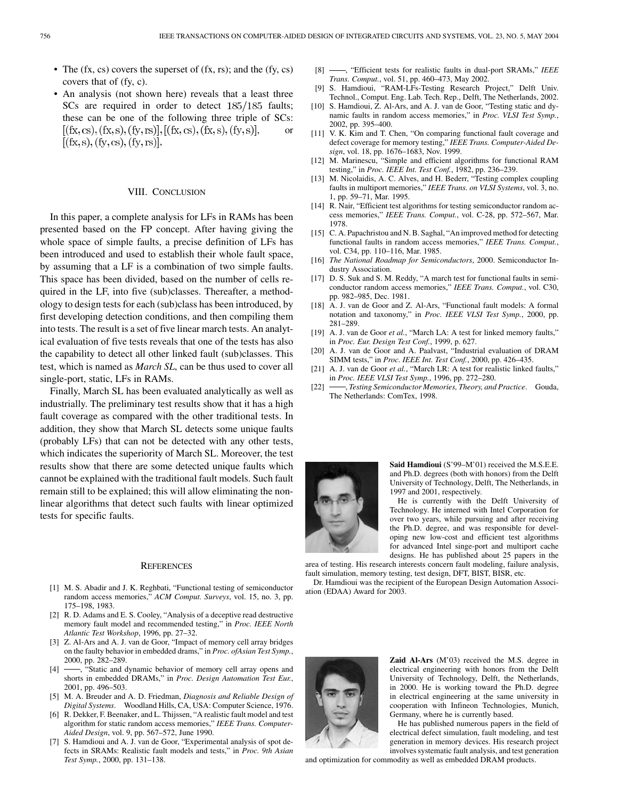- <span id="page-19-0"></span>• The  $(fx, cs)$  covers the superset of  $(fx, rs)$ ; and the  $(fy, cs)$ covers that of (fy, c).
- An analysis (not shown here) reveals that a least three SCs are required in order to detect  $185/185$  faults; these can be one of the following three triple of SCs:  $[(fx, cs), (fx, s), (fy, rs)], [(fx, cs), (fx, s), (fy, s)],$  or  $[(fx, s), (fy, cs), (fy, rs)],$

#### VIII. CONCLUSION

In this paper, a complete analysis for LFs in RAMs has been presented based on the FP concept. After having giving the whole space of simple faults, a precise definition of LFs has been introduced and used to establish their whole fault space, by assuming that a LF is a combination of two simple faults. This space has been divided, based on the number of cells required in the LF, into five (sub)classes. Thereafter, a methodology to design tests for each (sub)class has been introduced, by first developing detection conditions, and then compiling them into tests. The result is a set of five linear march tests. An analytical evaluation of five tests reveals that one of the tests has also the capability to detect all other linked fault (sub)classes. This test, which is named as *March SL*, can be thus used to cover all single-port, static, LFs in RAMs.

Finally, March SL has been evaluated analytically as well as industrially. The preliminary test results show that it has a high fault coverage as compared with the other traditional tests. In addition, they show that March SL detects some unique faults (probably LFs) that can not be detected with any other tests, which indicates the superiority of March SL. Moreover, the test results show that there are some detected unique faults which cannot be explained with the traditional fault models. Such fault remain still to be explained; this will allow eliminating the nonlinear algorithms that detect such faults with linear optimized tests for specific faults.

#### **REFERENCES**

- [1] M. S. Abadir and J. K. Reghbati, "Functional testing of semiconductor random access memories," *ACM Comput. Surveys*, vol. 15, no. 3, pp. 175–198, 1983.
- [2] R. D. Adams and E. S. Cooley, "Analysis of a deceptive read destructive memory fault model and recommended testing," in *Proc. IEEE North Atlantic Test Workshop*, 1996, pp. 27–32.
- [3] Z. Al-Ars and A. J. van de Goor, "Impact of memory cell array bridges on the faulty behavior in embedded drams," in *Proc. ofAsian Test Symp.*, 2000, pp. 282–289.
- [4]  $\rightarrow$  "Static and dynamic behavior of memory cell array opens and shorts in embedded DRAMs," in *Proc. Design Automation Test Eur.*, 2001, pp. 496–503.
- [5] M. A. Breuder and A. D. Friedman, *Diagnosis and Reliable Design of Digital Systems*. Woodland Hills, CA, USA: Computer Science, 1976.
- [6] R. Dekker, F. Beenaker, and L. Thijssen, "A realistic fault model and test algorithm for static random access memories," *IEEE Trans. Computer-Aided Design*, vol. 9, pp. 567–572, June 1990.
- S. Hamdioui and A. J. van de Goor, "Experimental analysis of spot defects in SRAMs: Realistic fault models and tests," in *Proc. 9th Asian Test Symp.*, 2000, pp. 131–138.
- [8]  $\rightarrow$  "Efficient tests for realistic faults in dual-port SRAMs," *IEEE Trans. Comput.*, vol. 51, pp. 460–473, May 2002.
- [9] S. Hamdioui, "RAM-LFs-Testing Research Project," Delft Univ. Technol., Comput. Eng. Lab. Tech. Rep., Delft, The Netherlands, 2002.
- [10] S. Hamdioui, Z. Al-Ars, and A. J. van de Goor, "Testing static and dynamic faults in random access memories," in *Proc. VLSI Test Symp.*, 2002, pp. 395–400.
- [11] V. K. Kim and T. Chen, "On comparing functional fault coverage and defect coverage for memory testing," *IEEE Trans. Computer-Aided Design*, vol. 18, pp. 1676–1683, Nov. 1999.
- [12] M. Marinescu, "Simple and efficient algorithms for functional RAM testing," in *Proc. IEEE Int. Test Conf.*, 1982, pp. 236–239.
- [13] M. Nicolaidis, A. C. Alves, and H. Bederr, "Testing complex coupling faults in multiport memories," *IEEE Trans. on VLSI Systems*, vol. 3, no. 1, pp. 59–71, Mar. 1995.
- [14] R. Nair, "Efficient test algorithms for testing semiconductor random access memories," *IEEE Trans. Comput.*, vol. C-28, pp. 572–567, Mar. 1978.
- [15] C. A. Papachristou and N. B. Saghal, "An improved method for detecting functional faults in random access memories," *IEEE Trans. Comput.*, vol. C34, pp. 110–116, Mar. 1985.
- [16] *The National Roadmap for Semiconductors*, 2000. Semiconductor Industry Association.
- [17] D. S. Suk and S. M. Reddy, "A march test for functional faults in semiconductor random access memories," *IEEE Trans. Comput.*, vol. C30, pp. 982–985, Dec. 1981.
- [18] A. J. van de Goor and Z. Al-Ars, "Functional fault models: A formal notation and taxonomy," in *Proc. IEEE VLSI Test Symp.*, 2000, pp. 281–289.
- [19] A. J. van de Goor *et al.*, "March LA: A test for linked memory faults," in *Proc. Eur. Design Test Conf.*, 1999, p. 627.
- [20] A. J. van de Goor and A. Paalvast, "Industrial evaluation of DRAM SIMM tests," in *Proc. IEEE Int. Test Conf.*, 2000, pp. 426–435.
- [21] A. J. van de Goor *et al.*, "March LR: A test for realistic linked faults," in *Proc. IEEE VLSI Test Symp.*, 1996, pp. 272–280.
- [22] **-**, *Testing Semiconductor Memories, Theory, and Practice.* Gouda, The Netherlands: ComTex, 1998.



**Said Hamdioui** (S'99–M'01) received the M.S.E.E. and Ph.D. degrees (both with honors) from the Delft University of Technology, Delft, The Netherlands, in 1997 and 2001, respectively.

He is currently with the Delft University of Technology. He interned with Intel Corporation for over two years, while pursuing and after receiving the Ph.D. degree, and was responsible for developing new low-cost and efficient test algorithms for advanced Intel singe-port and multiport cache designs. He has published about 25 papers in the

area of testing. His research interests concern fault modeling, failure analysis, fault simulation, memory testing, test design, DFT, BIST, BISR, etc.

Dr. Hamdioui was the recipient of the European Design Automation Association (EDAA) Award for 2003.



**Zaid Al-Ars** (M'03) received the M.S. degree in electrical engineering with honors from the Delft University of Technology, Delft, the Netherlands, in 2000. He is working toward the Ph.D. degree in electrical engineering at the same university in cooperation with Infineon Technologies, Munich, Germany, where he is currently based.

He has published numerous papers in the field of electrical defect simulation, fault modeling, and test generation in memory devices. His research project involves systematic fault analysis, and test generation

and optimization for commodity as well as embedded DRAM products.